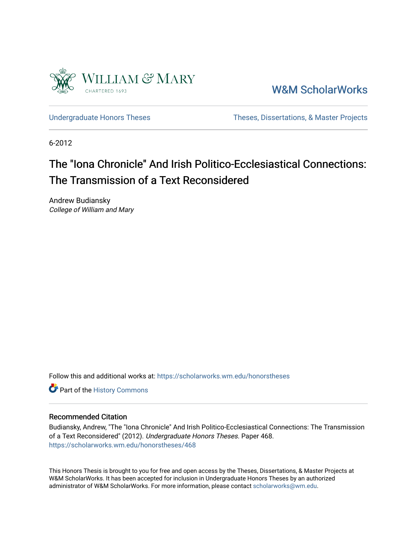

[W&M ScholarWorks](https://scholarworks.wm.edu/) 

[Undergraduate Honors Theses](https://scholarworks.wm.edu/honorstheses) Theses Theses, Dissertations, & Master Projects

6-2012

# The "Iona Chronicle" And Irish Politico-Ecclesiastical Connections: The Transmission of a Text Reconsidered

Andrew Budiansky College of William and Mary

Follow this and additional works at: [https://scholarworks.wm.edu/honorstheses](https://scholarworks.wm.edu/honorstheses?utm_source=scholarworks.wm.edu%2Fhonorstheses%2F468&utm_medium=PDF&utm_campaign=PDFCoverPages) 

Part of the [History Commons](http://network.bepress.com/hgg/discipline/489?utm_source=scholarworks.wm.edu%2Fhonorstheses%2F468&utm_medium=PDF&utm_campaign=PDFCoverPages) 

## Recommended Citation

Budiansky, Andrew, "The "Iona Chronicle" And Irish Politico-Ecclesiastical Connections: The Transmission of a Text Reconsidered" (2012). Undergraduate Honors Theses. Paper 468. [https://scholarworks.wm.edu/honorstheses/468](https://scholarworks.wm.edu/honorstheses/468?utm_source=scholarworks.wm.edu%2Fhonorstheses%2F468&utm_medium=PDF&utm_campaign=PDFCoverPages) 

This Honors Thesis is brought to you for free and open access by the Theses, Dissertations, & Master Projects at W&M ScholarWorks. It has been accepted for inclusion in Undergraduate Honors Theses by an authorized administrator of W&M ScholarWorks. For more information, please contact [scholarworks@wm.edu.](mailto:scholarworks@wm.edu)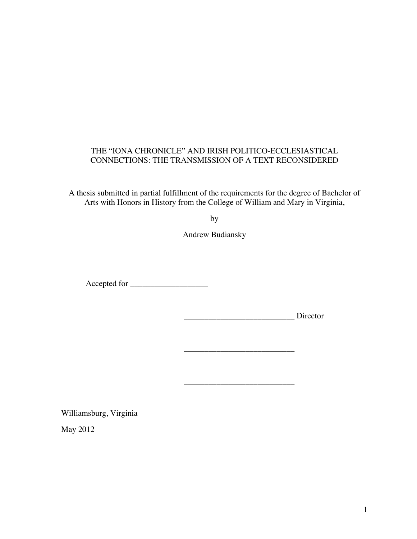## THE "IONA CHRONICLE" AND IRISH POLITICO-ECCLESIASTICAL CONNECTIONS: THE TRANSMISSION OF A TEXT RECONSIDERED

A thesis submitted in partial fulfillment of the requirements for the degree of Bachelor of Arts with Honors in History from the College of William and Mary in Virginia,

by

Andrew Budiansky

Accepted for \_\_\_\_\_\_\_\_\_\_\_\_\_\_\_\_\_\_\_

\_\_\_\_\_\_\_\_\_\_\_\_\_\_\_\_\_\_\_\_\_\_\_\_\_\_\_ Director

\_\_\_\_\_\_\_\_\_\_\_\_\_\_\_\_\_\_\_\_\_\_\_\_\_\_\_

\_\_\_\_\_\_\_\_\_\_\_\_\_\_\_\_\_\_\_\_\_\_\_\_\_\_\_

Williamsburg, Virginia

May 2012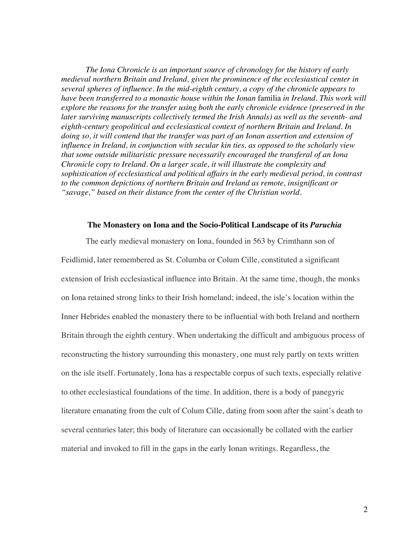*The Iona Chronicle is an important source of chronology for the history of early medieval northern Britain and Ireland, given the prominence of the ecclesiastical center in several spheres of influence. In the mid-eighth century, a copy of the chronicle appears to have been transferred to a monastic house within the Ionan* familia *in Ireland. This work will explore the reasons for the transfer using both the early chronicle evidence (preserved in the later surviving manuscripts collectively termed the Irish Annals) as well as the seventh- and eighth-century geopolitical and ecclesiastical context of northern Britain and Ireland. In doing so, it will contend that the transfer was part of an Ionan assertion and extension of influence in Ireland, in conjunction with secular kin ties, as opposed to the scholarly view that some outside militaristic pressure necessarily encouraged the transferal of an Iona Chronicle copy to Ireland. On a larger scale, it will illustrate the complexity and sophistication of ecclesiastical and political affairs in the early medieval period, in contrast to the common depictions of northern Britain and Ireland as remote, insignificant or "savage," based on their distance from the center of the Christian world.* 

#### **The Monastery on Iona and the Socio-Political Landscape of its** *Paruchia*

The early medieval monastery on Iona, founded in 563 by Crimthann son of Feidlimid, later remembered as St. Columba or Colum Cille, constituted a significant extension of Irish ecclesiastical influence into Britain. At the same time, though, the monks on Iona retained strong links to their Irish homeland; indeed, the isle's location within the Inner Hebrides enabled the monastery there to be influential with both Ireland and northern Britain through the eighth century. When undertaking the difficult and ambiguous process of reconstructing the history surrounding this monastery, one must rely partly on texts written on the isle itself. Fortunately, Iona has a respectable corpus of such texts, especially relative to other ecclesiastical foundations of the time. In addition, there is a body of panegyric literature emanating from the cult of Colum Cille, dating from soon after the saint's death to several centuries later; this body of literature can occasionally be collated with the earlier material and invoked to fill in the gaps in the early Ionan writings. Regardless, the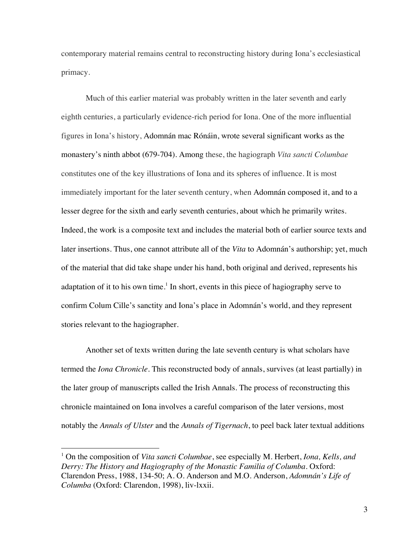contemporary material remains central to reconstructing history during Iona's ecclesiastical primacy.

Much of this earlier material was probably written in the later seventh and early eighth centuries, a particularly evidence-rich period for Iona. One of the more influential figures in Iona's history, Adomnán mac Rónáin, wrote several significant works as the monastery's ninth abbot (679-704). Among these, the hagiograph *Vita sancti Columbae* constitutes one of the key illustrations of Iona and its spheres of influence. It is most immediately important for the later seventh century, when Adomnán composed it, and to a lesser degree for the sixth and early seventh centuries, about which he primarily writes. Indeed, the work is a composite text and includes the material both of earlier source texts and later insertions. Thus, one cannot attribute all of the *Vita* to Adomnán's authorship; yet, much of the material that did take shape under his hand, both original and derived, represents his adaptation of it to his own time.<sup>1</sup> In short, events in this piece of hagiography serve to confirm Colum Cille's sanctity and Iona's place in Adomnán's world, and they represent stories relevant to the hagiographer.

Another set of texts written during the late seventh century is what scholars have termed the *Iona Chronicle*. This reconstructed body of annals, survives (at least partially) in the later group of manuscripts called the Irish Annals. The process of reconstructing this chronicle maintained on Iona involves a careful comparison of the later versions, most notably the *Annals of Ulster* and the *Annals of Tigernach*, to peel back later textual additions

 <sup>1</sup> On the composition of *Vita sancti Columbae*, see especially M. Herbert, *Iona, Kells, and Derry: The History and Hagiography of the Monastic Familia of Columba*. Oxford: Clarendon Press, 1988, 134-50; A. O. Anderson and M.O. Anderson, *Adomnán's Life of Columba* (Oxford: Clarendon, 1998), liv-lxxii.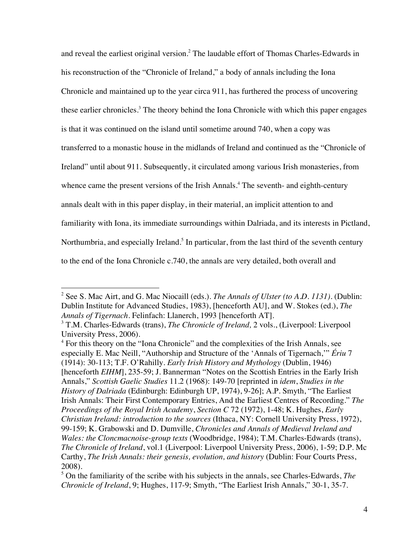and reveal the earliest original version.<sup>2</sup> The laudable effort of Thomas Charles-Edwards in his reconstruction of the "Chronicle of Ireland," a body of annals including the Iona Chronicle and maintained up to the year circa 911, has furthered the process of uncovering these earlier chronicles.<sup>3</sup> The theory behind the Iona Chronicle with which this paper engages is that it was continued on the island until sometime around 740, when a copy was transferred to a monastic house in the midlands of Ireland and continued as the "Chronicle of Ireland" until about 911. Subsequently, it circulated among various Irish monasteries, from whence came the present versions of the Irish Annals.<sup>4</sup> The seventh- and eighth-century annals dealt with in this paper display, in their material, an implicit attention to and familiarity with Iona, its immediate surroundings within Dalriada, and its interests in Pictland, Northumbria, and especially Ireland.<sup>5</sup> In particular, from the last third of the seventh century to the end of the Iona Chronicle c.740, the annals are very detailed, both overall and

 <sup>2</sup> See S. Mac Airt, and G. Mac Niocaill (eds.). *The Annals of Ulster (to A.D. 1131)*. (Dublin: Dublin Institute for Advanced Studies, 1983), [henceforth AU], and W. Stokes (ed.), *The Annals of Tigernach.* Felinfach: Llanerch, 1993 [henceforth AT].

<sup>3</sup> T.M. Charles-Edwards (trans), *The Chronicle of Ireland,* 2 vols., (Liverpool: Liverpool University Press, 2006).

<sup>&</sup>lt;sup>4</sup> For this theory on the "Iona Chronicle" and the complexities of the Irish Annals, see especially E. Mac Neill, "Authorship and Structure of the 'Annals of Tigernach,'" *Ériu* 7 (1914): 30-113; T.F. O'Rahilly. *Early Irish History and Mythology* (Dublin, 1946) [henceforth *EIHM*], 235-59; J. Bannerman "Notes on the Scottish Entries in the Early Irish Annals," *Scottish Gaelic Studies* 11.2 (1968): 149-70 [reprinted in *idem*, *Studies in the History of Dalriada* (Edinburgh: Edinburgh UP, 1974), 9-26]; A.P. Smyth, "The Earliest Irish Annals: Their First Contemporary Entries, And the Earliest Centres of Recording." *The Proceedings of the Royal Irish Academy*, *Section C* 72 (1972), 1-48; K. Hughes, *Early Christian Ireland: introduction to the sources* (Ithaca, NY: Cornell University Press, 1972), 99-159; K. Grabowski and D. Dumville, *Chronicles and Annals of Medieval Ireland and Wales: the Cloncmacnoise-group texts* (Woodbridge, 1984); T.M. Charles-Edwards (trans), *The Chronicle of Ireland*, vol.1 (Liverpool: Liverpool University Press, 2006), 1-59; D.P. Mc Carthy, *The Irish Annals: their genesis, evolution, and history* (Dublin: Four Courts Press, 2008).

<sup>5</sup> On the familiarity of the scribe with his subjects in the annals, see Charles-Edwards, *The Chronicle of Ireland*, 9; Hughes, 117-9; Smyth, "The Earliest Irish Annals," 30-1, 35-7.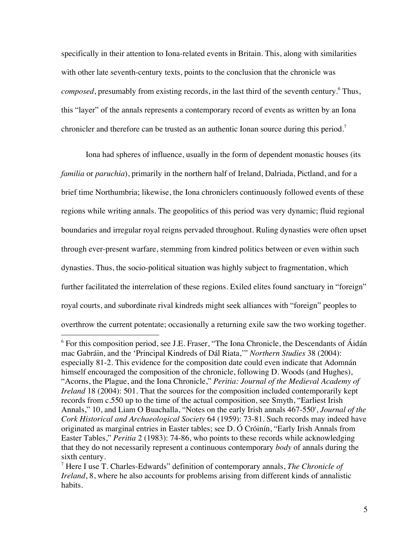specifically in their attention to Iona-related events in Britain. This, along with similarities with other late seventh-century texts, points to the conclusion that the chronicle was *composed*, presumably from existing records, in the last third of the seventh century.<sup>6</sup> Thus, this "layer" of the annals represents a contemporary record of events as written by an Iona chronicler and therefore can be trusted as an authentic Ionan source during this period.<sup>7</sup>

Iona had spheres of influence, usually in the form of dependent monastic houses (its *familia* or *paruchia*), primarily in the northern half of Ireland, Dalriada, Pictland, and for a brief time Northumbria; likewise, the Iona chroniclers continuously followed events of these regions while writing annals. The geopolitics of this period was very dynamic; fluid regional boundaries and irregular royal reigns pervaded throughout. Ruling dynasties were often upset through ever-present warfare, stemming from kindred politics between or even within such dynasties. Thus, the socio-political situation was highly subject to fragmentation, which further facilitated the interrelation of these regions. Exiled elites found sanctuary in "foreign" royal courts, and subordinate rival kindreds might seek alliances with "foreign" peoples to overthrow the current potentate; occasionally a returning exile saw the two working together.

 $6$  For this composition period, see J.E. Fraser, "The Iona Chronicle, the Descendants of Áidán mac Gabráin, and the 'Principal Kindreds of Dál Riata,'" *Northern Studies* 38 (2004): especially 81-2. This evidence for the composition date could even indicate that Adomnán himself encouraged the composition of the chronicle, following D. Woods (and Hughes), "Acorns, the Plague, and the Iona Chronicle," *Peritia: Journal of the Medieval Academy of Ireland* 18 (2004): 501. That the sources for the composition included contemporarily kept records from c.550 up to the time of the actual composition, see Smyth, "Earliest Irish Annals," 10, and Liam O Buachalla, "Notes on the early Irish annals 467-550', *Journal of the Cork Historical and Archaeological Society* 64 (1959): 73-81. Such records may indeed have originated as marginal entries in Easter tables; see D. Ó Cróinín, "Early Irish Annals from Easter Tables," *Peritia* 2 (1983): 74-86, who points to these records while acknowledging that they do not necessarily represent a continuous contemporary *body* of annals during the sixth century.

<sup>7</sup> Here I use T. Charles-Edwards" definition of contemporary annals, *The Chronicle of Ireland*, 8, where he also accounts for problems arising from different kinds of annalistic habits.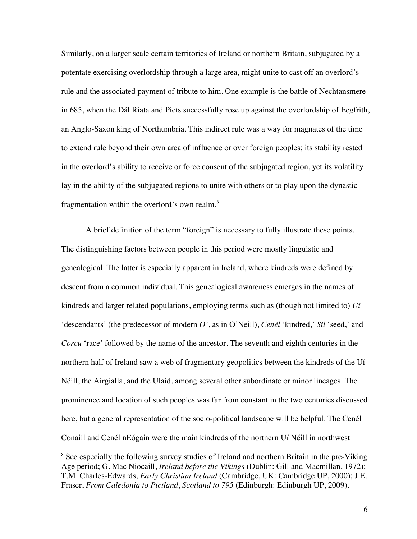Similarly, on a larger scale certain territories of Ireland or northern Britain, subjugated by a potentate exercising overlordship through a large area, might unite to cast off an overlord's rule and the associated payment of tribute to him. One example is the battle of Nechtansmere in 685, when the Dál Riata and Picts successfully rose up against the overlordship of Ecgfrith, an Anglo-Saxon king of Northumbria. This indirect rule was a way for magnates of the time to extend rule beyond their own area of influence or over foreign peoples; its stability rested in the overlord's ability to receive or force consent of the subjugated region, yet its volatility lay in the ability of the subjugated regions to unite with others or to play upon the dynastic fragmentation within the overlord's own realm.<sup>8</sup>

A brief definition of the term "foreign" is necessary to fully illustrate these points. The distinguishing factors between people in this period were mostly linguistic and genealogical. The latter is especially apparent in Ireland, where kindreds were defined by descent from a common individual. This genealogical awareness emerges in the names of kindreds and larger related populations, employing terms such as (though not limited to) *Uí* 'descendants' (the predecessor of modern *O'*, as in O'Neill), *Cenél* 'kindred,' *Síl* 'seed,' and *Corcu* 'race' followed by the name of the ancestor. The seventh and eighth centuries in the northern half of Ireland saw a web of fragmentary geopolitics between the kindreds of the Uí Néill, the Airgialla, and the Ulaid, among several other subordinate or minor lineages. The prominence and location of such peoples was far from constant in the two centuries discussed here, but a general representation of the socio-political landscape will be helpful. The Cenél Conaill and Cenél nEógain were the main kindreds of the northern Uí Néill in northwest

<sup>&</sup>lt;sup>8</sup> See especially the following survey studies of Ireland and northern Britain in the pre-Viking Age period; G. Mac Niocaill, *Ireland before the Vikings* (Dublin: Gill and Macmillan, 1972); T.M. Charles-Edwards, *Early Christian Ireland* (Cambridge, UK: Cambridge UP, 2000); J.E. Fraser, *From Caledonia to Pictland*, *Scotland to 795* (Edinburgh: Edinburgh UP, 2009).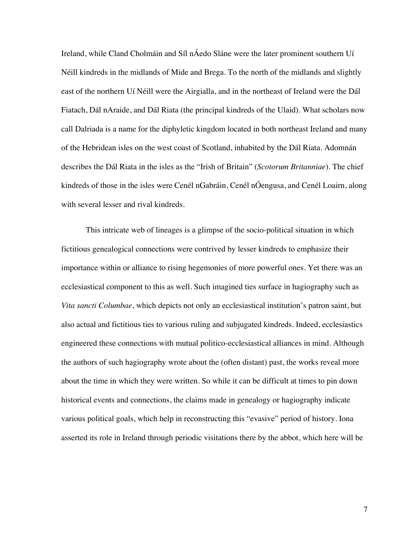Ireland, while Cland Cholmáin and Síl nÁedo Sláne were the later prominent southern Uí Néill kindreds in the midlands of Mide and Brega. To the north of the midlands and slightly east of the northern Uí Néill were the Airgialla, and in the northeast of Ireland were the Dál Fiatach, Dál nAraide, and Dál Riata (the principal kindreds of the Ulaid). What scholars now call Dalriada is a name for the diphyletic kingdom located in both northeast Ireland and many of the Hebridean isles on the west coast of Scotland, inhabited by the Dál Riata. Adomnán describes the Dál Riata in the isles as the "Irish of Britain" (*Scotorum Britanniae*). The chief kindreds of those in the isles were Cenél nGabráin, Cenél nÓengusa, and Cenél Loairn, along with several lesser and rival kindreds.

This intricate web of lineages is a glimpse of the socio-political situation in which fictitious genealogical connections were contrived by lesser kindreds to emphasize their importance within or alliance to rising hegemonies of more powerful ones. Yet there was an ecclesiastical component to this as well. Such imagined ties surface in hagiography such as *Vita sancti Columbae*, which depicts not only an ecclesiastical institution's patron saint, but also actual and fictitious ties to various ruling and subjugated kindreds. Indeed, ecclesiastics engineered these connections with mutual politico-ecclesiastical alliances in mind. Although the authors of such hagiography wrote about the (often distant) past, the works reveal more about the time in which they were written. So while it can be difficult at times to pin down historical events and connections, the claims made in genealogy or hagiography indicate various political goals, which help in reconstructing this "evasive" period of history. Iona asserted its role in Ireland through periodic visitations there by the abbot, which here will be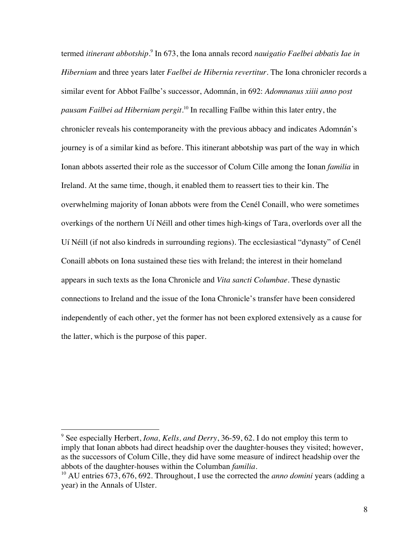termed *itinerant abbotship*. <sup>9</sup> In 673, the Iona annals record *nauigatio Faelbei abbatis Iae in Hiberniam* and three years later *Faelbei de Hibernia revertitur*. The Iona chronicler records a similar event for Abbot Faílbe's successor, Adomnán, in 692: *Adomnanus xiiii anno post pausam Failbei ad Hiberniam pergit*. <sup>10</sup> In recalling Faílbe within this later entry, the chronicler reveals his contemporaneity with the previous abbacy and indicates Adomnán's journey is of a similar kind as before. This itinerant abbotship was part of the way in which Ionan abbots asserted their role as the successor of Colum Cille among the Ionan *familia* in Ireland. At the same time, though, it enabled them to reassert ties to their kin. The overwhelming majority of Ionan abbots were from the Cenél Conaill, who were sometimes overkings of the northern Uí Néill and other times high-kings of Tara, overlords over all the Uí Néill (if not also kindreds in surrounding regions). The ecclesiastical "dynasty" of Cenél Conaill abbots on Iona sustained these ties with Ireland; the interest in their homeland appears in such texts as the Iona Chronicle and *Vita sancti Columbae*. These dynastic connections to Ireland and the issue of the Iona Chronicle's transfer have been considered independently of each other, yet the former has not been explored extensively as a cause for the latter, which is the purpose of this paper.

 <sup>9</sup> See especially Herbert, *Iona, Kells, and Derry*, 36-59, 62. I do not employ this term to imply that Ionan abbots had direct headship over the daughter-houses they visited; however, as the successors of Colum Cille, they did have some measure of indirect headship over the abbots of the daughter-houses within the Columban *familia*. 10 AU entries 673, 676, 692. Throughout, I use the corrected the *anno domini* years (adding a

year) in the Annals of Ulster.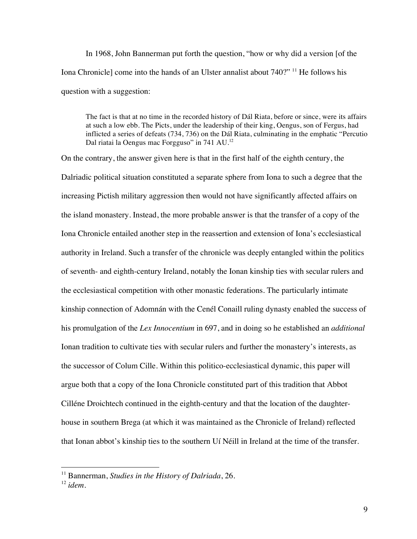In 1968, John Bannerman put forth the question, "how or why did a version [of the Iona Chronicle] come into the hands of an Ulster annalist about 740?" <sup>11</sup> He follows his question with a suggestion:

The fact is that at no time in the recorded history of Dál Riata, before or since, were its affairs at such a low ebb. The Picts, under the leadership of their king, Oengus, son of Fergus, had inflicted a series of defeats (734, 736) on the Dál Riata, culminating in the emphatic "Percutio Dal riatai la Oengus mac Forgguso" in 741 AU.<sup>12</sup>

On the contrary, the answer given here is that in the first half of the eighth century, the Dalriadic political situation constituted a separate sphere from Iona to such a degree that the increasing Pictish military aggression then would not have significantly affected affairs on the island monastery. Instead, the more probable answer is that the transfer of a copy of the Iona Chronicle entailed another step in the reassertion and extension of Iona's ecclesiastical authority in Ireland. Such a transfer of the chronicle was deeply entangled within the politics of seventh- and eighth-century Ireland, notably the Ionan kinship ties with secular rulers and the ecclesiastical competition with other monastic federations. The particularly intimate kinship connection of Adomnán with the Cenél Conaill ruling dynasty enabled the success of his promulgation of the *Lex Innocentium* in 697, and in doing so he established an *additional* Ionan tradition to cultivate ties with secular rulers and further the monastery's interests, as the successor of Colum Cille. Within this politico-ecclesiastical dynamic, this paper will argue both that a copy of the Iona Chronicle constituted part of this tradition that Abbot Cilléne Droichtech continued in the eighth-century and that the location of the daughterhouse in southern Brega (at which it was maintained as the Chronicle of Ireland) reflected that Ionan abbot's kinship ties to the southern Uí Néill in Ireland at the time of the transfer.

 <sup>11</sup> Bannerman, *Studies in the History of Dalriada*, 26.

<sup>12</sup> *idem.*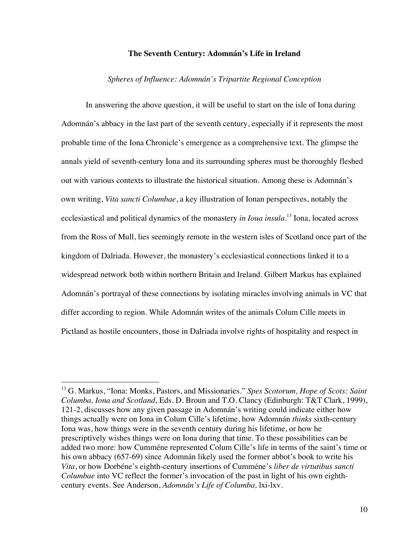## **The Seventh Century: Adomnán's Life in Ireland**

## *Spheres of Influence: Adomnán's Tripartite Regional Conception*

In answering the above question, it will be useful to start on the isle of Iona during Adomnán's abbacy in the last part of the seventh century, especially if it represents the most probable time of the Iona Chronicle's emergence as a comprehensive text. The glimpse the annals yield of seventh-century Iona and its surrounding spheres must be thoroughly fleshed out with various contexts to illustrate the historical situation. Among these is Adomnán's own writing, *Vita sancti Columbae*, a key illustration of Ionan perspectives, notably the ecclesiastical and political dynamics of the monastery *in Ioua insula*. <sup>13</sup> Iona, located across from the Ross of Mull, lies seemingly remote in the western isles of Scotland once part of the kingdom of Dalriada. However, the monastery's ecclesiastical connections linked it to a widespread network both within northern Britain and Ireland. Gilbert Markus has explained Adomnán's portrayal of these connections by isolating miracles involving animals in VC that differ according to region. While Adomnán writes of the animals Colum Cille meets in Pictland as hostile encounters, those in Dalriada involve rights of hospitality and respect in

 <sup>13</sup> G. Markus, "Iona: Monks, Pastors, and Missionaries." *Spes Scotorum, Hope of Scots: Saint Columba, Iona and Scotland*, Eds. D. Broun and T.O. Clancy (Edinburgh: T&T Clark, 1999), 121-2, discusses how any given passage in Adomnán's writing could indicate either how things actually were on Iona in Colum Cille's lifetime, how Adomnán *thinks* sixth-century Iona was, how things were in the seventh century during his lifetime, or how he prescriptively wishes things were on Iona during that time. To these possibilities can be added two more: how Cumméne represented Colum Cille's life in terms of the saint's time or his own abbacy (657-69) since Adomnán likely used the former abbot's book to write his *Vita*, or how Dorbéne's eighth-century insertions of Cumméne's *liber de virtutibus sancti Columbae* into VC reflect the former's invocation of the past in light of his own eighthcentury events. See Anderson, *Adomnán's Life of Columba,* lxi-lxv.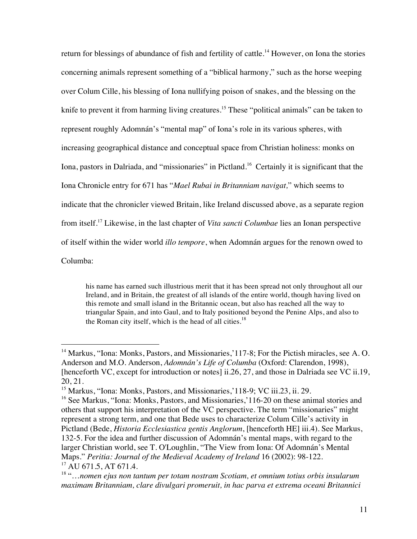return for blessings of abundance of fish and fertility of cattle.<sup>14</sup> However, on Iona the stories concerning animals represent something of a "biblical harmony," such as the horse weeping over Colum Cille, his blessing of Iona nullifying poison of snakes, and the blessing on the knife to prevent it from harming living creatures.<sup>15</sup> These "political animals" can be taken to represent roughly Adomnán's "mental map" of Iona's role in its various spheres, with increasing geographical distance and conceptual space from Christian holiness: monks on Iona, pastors in Dalriada, and "missionaries" in Pictland.<sup>16</sup> Certainly it is significant that the Iona Chronicle entry for 671 has "*Mael Rubai in Britanniam navigat,*" which seems to indicate that the chronicler viewed Britain, like Ireland discussed above, as a separate region from itself.17 Likewise, in the last chapter of *Vita sancti Columbae* lies an Ionan perspective of itself within the wider world *illo tempore*, when Adomnán argues for the renown owed to Columba:

his name has earned such illustrious merit that it has been spread not only throughout all our Ireland, and in Britain, the greatest of all islands of the entire world, though having lived on this remote and small island in the Britannic ocean, but also has reached all the way to triangular Spain, and into Gaul, and to Italy positioned beyond the Penine Alps, and also to the Roman city itself, which is the head of all cities. $18$ 

<sup>&</sup>lt;sup>14</sup> Markus, "Iona: Monks, Pastors, and Missionaries, 117-8; For the Pictish miracles, see A. O. Anderson and M.O. Anderson, *Adomnán's Life of Columba* (Oxford: Clarendon, 1998), [henceforth VC, except for introduction or notes] ii.26, 27, and those in Dalriada see VC ii.19, 20, 21.

<sup>&</sup>lt;sup>15</sup> Markus, "Iona: Monks, Pastors, and Missionaries, 118-9; VC iii.23, ii. 29.

<sup>&</sup>lt;sup>16</sup> See Markus, "Iona: Monks, Pastors, and Missionaries, 116-20 on these animal stories and others that support his interpretation of the VC perspective. The term "missionaries" might represent a strong term, and one that Bede uses to characterize Colum Cille's activity in Pictland (Bede, *Historia Ecclesiastica gentis Anglorum*, [henceforth HE] iii.4). See Markus, 132-5. For the idea and further discussion of Adomnán's mental maps, with regard to the larger Christian world, see T. O'Loughlin, "The View from Iona: Of Adomnán's Mental Maps." *Peritia: Journal of the Medieval Academy of Ireland* 16 (2002): 98-122. <sup>17</sup> AU 671.5, AT 671.4.

<sup>18</sup> "…*nomen ejus non tantum per totam nostram Scotiam, et omnium totius orbis insularum maximam Britanniam, clare divulgari promeruit, in hac parva et extrema oceani Britannici*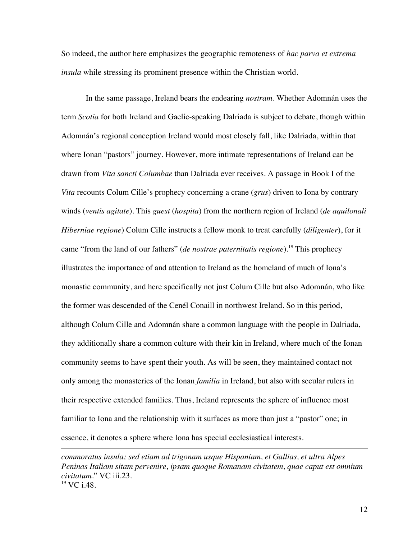So indeed, the author here emphasizes the geographic remoteness of *hac parva et extrema insula* while stressing its prominent presence within the Christian world.

In the same passage, Ireland bears the endearing *nostram.* Whether Adomnán uses the term *Scotia* for both Ireland and Gaelic-speaking Dalriada is subject to debate, though within Adomnán's regional conception Ireland would most closely fall, like Dalriada, within that where Ionan "pastors" journey. However, more intimate representations of Ireland can be drawn from *Vita sancti Columbae* than Dalriada ever receives. A passage in Book I of the *Vita* recounts Colum Cille's prophecy concerning a crane (*grus*) driven to Iona by contrary winds (*ventis agitate*). This *guest* (*hospita*) from the northern region of Ireland (*de aquilonali Hiberniae regione*) Colum Cille instructs a fellow monk to treat carefully (*diligenter*), for it came "from the land of our fathers" (*de nostrae paternitatis regione*).<sup>19</sup> This prophecy illustrates the importance of and attention to Ireland as the homeland of much of Iona's monastic community, and here specifically not just Colum Cille but also Adomnán, who like the former was descended of the Cenél Conaill in northwest Ireland. So in this period, although Colum Cille and Adomnán share a common language with the people in Dalriada, they additionally share a common culture with their kin in Ireland, where much of the Ionan community seems to have spent their youth. As will be seen, they maintained contact not only among the monasteries of the Ionan *familia* in Ireland, but also with secular rulers in their respective extended families. Thus, Ireland represents the sphere of influence most familiar to Iona and the relationship with it surfaces as more than just a "pastor" one; in essence, it denotes a sphere where Iona has special ecclesiastical interests.

*commoratus insula; sed etiam ad trigonam usque Hispaniam, et Gallias, et ultra Alpes Peninas Italiam sitam pervenire, ipsam quoque Romanam civitatem, quae caput est omnium civitatum.*" VC iii.23.  $19$  VC i.48.

 $\overline{a}$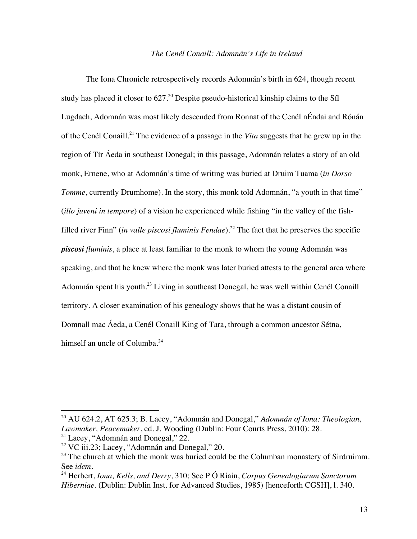#### *The Cenél Conaill: Adomnán's Life in Ireland*

The Iona Chronicle retrospectively records Adomnán's birth in 624, though recent study has placed it closer to 627.<sup>20</sup> Despite pseudo-historical kinship claims to the Síl Lugdach, Adomnán was most likely descended from Ronnat of the Cenél nÉndai and Rónán of the Cenél Conaill.<sup>21</sup> The evidence of a passage in the *Vita* suggests that he grew up in the region of Tír Áeda in southeast Donegal; in this passage, Adomnán relates a story of an old monk, Ernene, who at Adomnán's time of writing was buried at Druim Tuama (*in Dorso Tomme*, currently Drumhome). In the story, this monk told Adomnán, "a youth in that time" (*illo juveni in tempore*) of a vision he experienced while fishing "in the valley of the fishfilled river Finn" (*in valle piscosi fluminis Fendae*).<sup>22</sup> The fact that he preserves the specific *piscosi fluminis*, a place at least familiar to the monk to whom the young Adomnán was speaking, and that he knew where the monk was later buried attests to the general area where Adomnán spent his youth.<sup>23</sup> Living in southeast Donegal, he was well within Cenél Conaill territory. A closer examination of his genealogy shows that he was a distant cousin of Domnall mac Áeda, a Cenél Conaill King of Tara, through a common ancestor Sétna, himself an uncle of Columba. $^{24}$ 

 <sup>20</sup> AU 624.2, AT 625.3; B. Lacey, "Adomnán and Donegal," *Adomnán of Iona: Theologian, Lawmaker, Peacemaker*, ed. J. Wooding (Dublin: Four Courts Press, 2010): 28.  $21$  Lacey, "Adomnán and Donegal," 22.

 $22$  VC iii.23; Lacey, "Adomnán and Donegal," 20.

<sup>&</sup>lt;sup>23</sup> The church at which the monk was buried could be the Columban monastery of Sirdruimm. See *idem.* 

<sup>24</sup> Herbert, *Iona, Kells, and Derry*, 310; See P Ó Riain, *Corpus Genealogiarum Sanctorum Hiberniae*. (Dublin: Dublin Inst. for Advanced Studies, 1985) [henceforth CGSH], l. 340.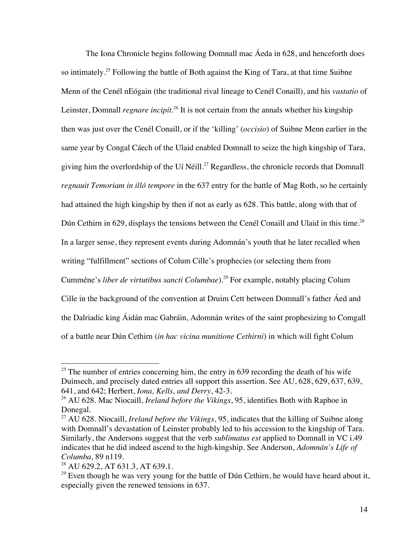The Iona Chronicle begins following Domnall mac Áeda in 628, and henceforth does so intimately.<sup>25</sup> Following the battle of Both against the King of Tara, at that time Suibne Menn of the Cenél nEógain (the traditional rival lineage to Cenél Conaill), and his *vastatio* of Leinster, Domnall *regnare incipit*.<sup>26</sup> It is not certain from the annals whether his kingship then was just over the Cenél Conaill, or if the 'killing' (*occisio*) of Suibne Menn earlier in the same year by Congal Cáech of the Ulaid enabled Domnall to seize the high kingship of Tara, giving him the overlordship of the Uí Néill.<sup>27</sup> Regardless, the chronicle records that Domnall *regnauit Temoriam in illó tempore* in the 637 entry for the battle of Mag Roth, so he certainly had attained the high kingship by then if not as early as 628. This battle, along with that of Dún Cethirn in 629, displays the tensions between the Cenél Conaill and Ulaid in this time.<sup>28</sup> In a larger sense, they represent events during Adomnán's youth that he later recalled when writing "fulfillment" sections of Colum Cille's prophecies (or selecting them from Cumméne's *liber de virtutibus sancti Columbae*).<sup>29</sup> For example, notably placing Colum Cille in the background of the convention at Druim Cett between Domnall's father Áed and the Dalriadic king Áidán mac Gabráin, Adomnán writes of the saint prophesizing to Comgall of a battle near Dún Cethirn (*in hac vicina munitione Cethirni*) in which will fight Colum

 $25$  The number of entries concerning him, the entry in 639 recording the death of his wife Duinsech, and precisely dated entries all support this assertion. See AU, 628, 629, 637, 639, 641, and 642; Herbert, *Iona, Kells, and Derry*, 42-3.

<sup>26</sup> AU 628. Mac Niocaill, *Ireland before the Vikings*, 95, identifies Both with Raphoe in Donegal.

<sup>27</sup> AU 628. Niocaill, *Ireland before the Vikings*, 95, indicates that the killing of Suibne along with Domnall's devastation of Leinster probably led to his accession to the kingship of Tara. Similarly, the Andersons suggest that the verb *sublimatus est* applied to Domnall in VC i.49 indicates that he did indeed ascend to the high-kingship. See Anderson, *Adomnán's Life of Columba,* 89 n119.

<sup>&</sup>lt;sup>28</sup> AU 629.2, AT 631.3, AT 639.1.

<sup>&</sup>lt;sup>29</sup> Even though he was very young for the battle of Dún Cethirn, he would have heard about it, especially given the renewed tensions in 637.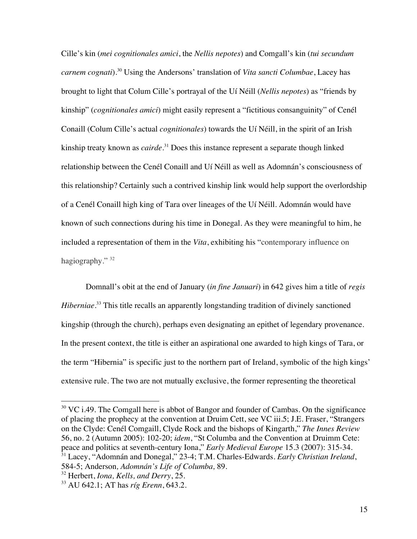Cille's kin (*mei cognitionales amici*, the *Nellis nepotes*) and Comgall's kin (*tui secundum carnem cognati*).<sup>30</sup> Using the Andersons' translation of *Vita sancti Columbae*, Lacey has brought to light that Colum Cille's portrayal of the Uí Néill (*Nellis nepotes*) as "friends by kinship" (*cognitionales amici*) might easily represent a "fictitious consanguinity" of Cenél Conaill (Colum Cille's actual *cognitionales*) towards the Uí Néill, in the spirit of an Irish kinship treaty known as *cairde*. <sup>31</sup> Does this instance represent a separate though linked relationship between the Cenél Conaill and Uí Néill as well as Adomnán's consciousness of this relationship? Certainly such a contrived kinship link would help support the overlordship of a Cenél Conaill high king of Tara over lineages of the Uí Néill. Adomnán would have known of such connections during his time in Donegal. As they were meaningful to him, he included a representation of them in the *Vita*, exhibiting his "contemporary influence on hagiography." 32

Domnall's obit at the end of January (*in fine Januari*) in 642 gives him a title of *regis*  Hiberniae.<sup>33</sup> This title recalls an apparently longstanding tradition of divinely sanctioned kingship (through the church), perhaps even designating an epithet of legendary provenance. In the present context, the title is either an aspirational one awarded to high kings of Tara, or the term "Hibernia" is specific just to the northern part of Ireland, symbolic of the high kings' extensive rule. The two are not mutually exclusive, the former representing the theoretical

 $30$  VC i.49. The Comgall here is abbot of Bangor and founder of Cambas. On the significance of placing the prophecy at the convention at Druim Cett, see VC iii.5; J.E. Fraser, "Strangers on the Clyde: Cenél Comgaill, Clyde Rock and the bishops of Kingarth," *The Innes Review* 56, no. 2 (Autumn 2005): 102-20; *idem*, "St Columba and the Convention at Druimm Cete: peace and politics at seventh-century Iona," *Early Medieval Europe* 15.3 (2007): 315-34. <sup>31</sup> Lacey, "Adomnán and Donegal," 23-4; T.M. Charles-Edwards. *Early Christian Ireland*, 584-5; Anderson*, Adomnán's Life of Columba,* 89.

<sup>32</sup> Herbert, *Iona, Kells, and Derry*, 25.

<sup>33</sup> AU 642.1; AT has *ríg Erenn*, 643.2.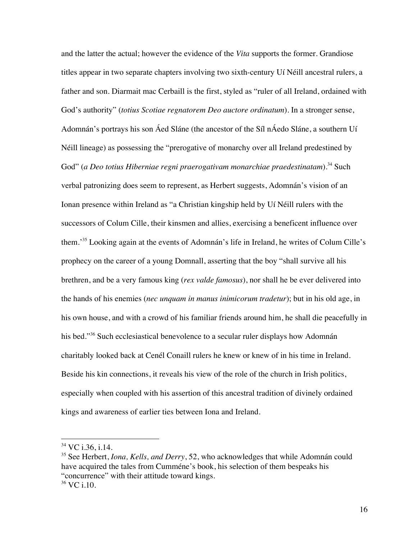and the latter the actual; however the evidence of the *Vita* supports the former. Grandiose titles appear in two separate chapters involving two sixth-century Uí Néill ancestral rulers, a father and son. Diarmait mac Cerbaill is the first, styled as "ruler of all Ireland, ordained with God's authority" (*totius Scotiae regnatorem Deo auctore ordinatum*). In a stronger sense, Adomnán's portrays his son Áed Sláne (the ancestor of the Síl nÁedo Sláne, a southern Uí Néill lineage) as possessing the "prerogative of monarchy over all Ireland predestined by God" (*a Deo totius Hiberniae regni praerogativam monarchiae praedestinatam*).<sup>34</sup> Such verbal patronizing does seem to represent, as Herbert suggests, Adomnán's vision of an Ionan presence within Ireland as "a Christian kingship held by Uí Néill rulers with the successors of Colum Cille, their kinsmen and allies, exercising a beneficent influence over them.'35 Looking again at the events of Adomnán's life in Ireland, he writes of Colum Cille's prophecy on the career of a young Domnall, asserting that the boy "shall survive all his brethren, and be a very famous king (*rex valde famosus*), nor shall he be ever delivered into the hands of his enemies (*nec unquam in manus inimicorum tradetur*); but in his old age, in his own house, and with a crowd of his familiar friends around him, he shall die peacefully in his bed."<sup>36</sup> Such ecclesiastical benevolence to a secular ruler displays how Adomnán charitably looked back at Cenél Conaill rulers he knew or knew of in his time in Ireland. Beside his kin connections, it reveals his view of the role of the church in Irish politics, especially when coupled with his assertion of this ancestral tradition of divinely ordained kings and awareness of earlier ties between Iona and Ireland.

 <sup>34</sup> VC i.36, i.14.

<sup>&</sup>lt;sup>35</sup> See Herbert, *Iona, Kells, and Derry*, 52, who acknowledges that while Adomnán could have acquired the tales from Cumméne's book, his selection of them bespeaks his "concurrence" with their attitude toward kings.

<sup>36</sup> VC i.10.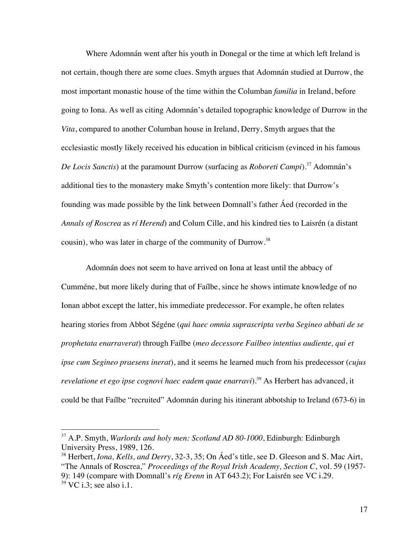Where Adomnán went after his youth in Donegal or the time at which left Ireland is not certain, though there are some clues. Smyth argues that Adomnán studied at Durrow, the most important monastic house of the time within the Columban *familia* in Ireland, before going to Iona. As well as citing Adomnán's detailed topographic knowledge of Durrow in the *Vita*, compared to another Columban house in Ireland, Derry, Smyth argues that the ecclesiastic mostly likely received his education in biblical criticism (evinced in his famous *De Locis Sanctis*) at the paramount Durrow (surfacing as *Roboreti Campi*). <sup>37</sup> Adomnán's additional ties to the monastery make Smyth's contention more likely: that Durrow's founding was made possible by the link between Domnall's father Áed (recorded in the *Annals of Roscrea* as *rí Herend*) and Colum Cille, and his kindred ties to Laisrén (a distant cousin), who was later in charge of the community of Durrow.<sup>38</sup>

Adomnán does not seem to have arrived on Iona at least until the abbacy of Cumméne, but more likely during that of Faílbe, since he shows intimate knowledge of no Ionan abbot except the latter, his immediate predecessor. For example, he often relates hearing stories from Abbot Ségéne (*qui haec omnia suprascripta verba Segineo abbati de se prophetata enarraverat*) through Faílbe (*meo decessore Failbeo intentius audiente, qui et ipse cum Segineo praesens inerat*), and it seems he learned much from his predecessor (*cujus revelatione et ego ipse cognovi haec eadem quae enarravi*).<sup>39</sup> As Herbert has advanced, it could be that Faílbe "recruited" Adomnán during his itinerant abbotship to Ireland (673-6) in

 <sup>37</sup> A.P. Smyth, *Warlords and holy men: Scotland AD 80-1000*, Edinburgh: Edinburgh University Press, 1989, 126.

<sup>38</sup> Herbert, *Iona, Kells, and Derry*, 32-3, 35; On Áed's title, see D. Gleeson and S. Mac Airt, "The Annals of Roscrea," *Proceedings of the Royal Irish Academy, Section C*, vol. 59 (1957- 9): 149 (compare with Domnall's *ríg Erenn* in AT 643.2); For Laisrén see VC i.29.  $39 \text{ VC } i.3$ ; see also i.1.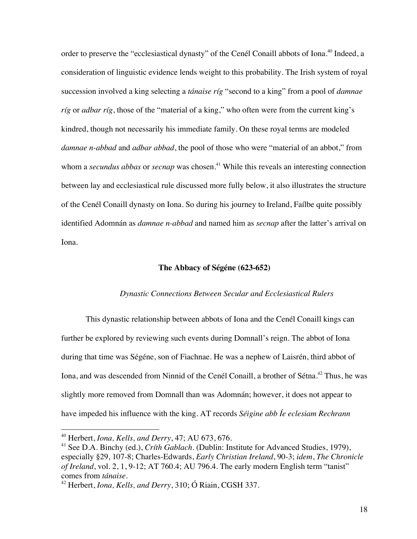order to preserve the "ecclesiastical dynasty" of the Cenél Conaill abbots of Iona.<sup>40</sup> Indeed, a consideration of linguistic evidence lends weight to this probability. The Irish system of royal succession involved a king selecting a *tánaise ríg* "second to a king" from a pool of *damnae ríg* or *adbar ríg*, those of the "material of a king," who often were from the current king's kindred, though not necessarily his immediate family. On these royal terms are modeled *damnae n-abbad* and *adbar abbad*, the pool of those who were "material of an abbot," from whom a *secundus abbas* or *secnap* was chosen.<sup>41</sup> While this reveals an interesting connection between lay and ecclesiastical rule discussed more fully below, it also illustrates the structure of the Cenél Conaill dynasty on Iona. So during his journey to Ireland, Faílbe quite possibly identified Adomnán as *damnae n-abbad* and named him as *secnap* after the latter's arrival on Iona.

## **The Abbacy of Ségéne (623-652)**

## *Dynastic Connections Between Secular and Ecclesiastical Rulers*

This dynastic relationship between abbots of Iona and the Cenél Conaill kings can further be explored by reviewing such events during Domnall's reign. The abbot of Iona during that time was Ségéne, son of Fiachnae. He was a nephew of Laisrén, third abbot of Iona, and was descended from Ninnid of the Cenél Conaill, a brother of Sétna.<sup>42</sup> Thus, he was slightly more removed from Domnall than was Adomnán; however, it does not appear to have impeded his influence with the king. AT records *Séigine abb Íe eclesiam Rechrann*

 <sup>40</sup> Herbert, *Iona, Kells, and Derry*, 47; AU 673, 676.

<sup>41</sup> See D.A. Binchy (ed.), *Críth Gablach*. (Dublin: Institute for Advanced Studies, 1979), especially §29, 107-8; Charles-Edwards, *Early Christian Ireland*, 90-3; *idem*, *The Chronicle of Ireland*, vol. 2, 1, 9-12; AT 760.4; AU 796.4. The early modern English term "tanist" comes from *tánaise*. 42 Herbert, *Iona, Kells, and Derry*, 310; Ó Riain, CGSH 337.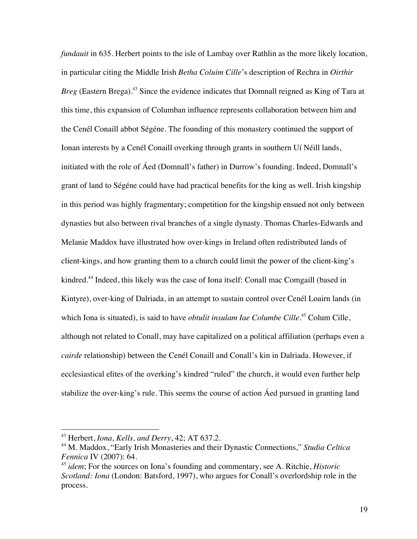*fundauit* in 635. Herbert points to the isle of Lambay over Rathlin as the more likely location, in particular citing the Middle Irish *Betha Coluim Cille*'s description of Rechra in *Oirthir Breg* (Eastern Brega).<sup>43</sup> Since the evidence indicates that Domnall reigned as King of Tara at this time, this expansion of Columban influence represents collaboration between him and the Cenél Conaill abbot Ségéne. The founding of this monastery continued the support of Ionan interests by a Cenél Conaill overking through grants in southern Uí Néill lands, initiated with the role of Áed (Domnall's father) in Durrow's founding. Indeed, Domnall's grant of land to Ségéne could have had practical benefits for the king as well. Irish kingship in this period was highly fragmentary; competition for the kingship ensued not only between dynasties but also between rival branches of a single dynasty. Thomas Charles-Edwards and Melanie Maddox have illustrated how over-kings in Ireland often redistributed lands of client-kings, and how granting them to a church could limit the power of the client-king's kindred.<sup>44</sup> Indeed, this likely was the case of Iona itself: Conall mac Comgaill (based in Kintyre), over-king of Dalriada, in an attempt to sustain control over Cenél Loairn lands (in which Iona is situated), is said to have *obtulit insulam Iae Columbe Cille*. <sup>45</sup> Colum Cille, although not related to Conall, may have capitalized on a political affiliation (perhaps even a *cairde* relationship) between the Cenél Conaill and Conall's kin in Dalriada. However, if ecclesiastical elites of the overking's kindred "ruled" the church, it would even further help stabilize the over-king's rule. This seems the course of action Áed pursued in granting land

 <sup>43</sup> Herbert, *Iona, Kells, and Derry*, 42; AT 637.2.

<sup>44</sup> M. Maddox, "Early Irish Monasteries and their Dynastic Connections," *Studia Celtica Fennica* IV (2007): 64.

<sup>45</sup> *idem*; For the sources on Iona's founding and commentary, see A. Ritchie, *Historic Scotland: Iona* (London: Batsford, 1997), who argues for Conall's overlordship role in the process.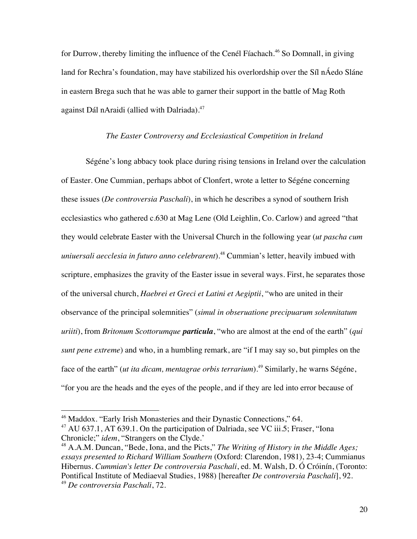for Durrow, thereby limiting the influence of the Cenél Fíachach. <sup>46</sup> So Domnall, in giving land for Rechra's foundation, may have stabilized his overlordship over the Síl nÁedo Sláne in eastern Brega such that he was able to garner their support in the battle of Mag Roth against Dál nAraidi (allied with Dalriada).<sup>47</sup>

#### *The Easter Controversy and Ecclesiastical Competition in Ireland*

Ségéne's long abbacy took place during rising tensions in Ireland over the calculation of Easter. One Cummian, perhaps abbot of Clonfert, wrote a letter to Ségéne concerning these issues (*De controversia Paschali*), in which he describes a synod of southern Irish ecclesiastics who gathered c.630 at Mag Lene (Old Leighlin, Co. Carlow) and agreed "that they would celebrate Easter with the Universal Church in the following year (*ut pascha cum uniuersali aecclesia in futuro anno celebrarent*).48 Cummian's letter, heavily imbued with scripture, emphasizes the gravity of the Easter issue in several ways. First, he separates those of the universal church, *Haebrei et Greci et Latini et Aegiptii*, "who are united in their observance of the principal solemnities" (*simul in obseruatione precipuarum solennitatum uriiti*), from *Britonum Scottorumque particula*, "who are almost at the end of the earth" (*qui sunt pene extreme*) and who, in a humbling remark, are "if I may say so, but pimples on the face of the earth" (*ut ita dicam, mentagrae orbis terrarium*). <sup>49</sup> Similarly, he warns Ségéne, "for you are the heads and the eyes of the people, and if they are led into error because of

<sup>&</sup>lt;sup>46</sup> Maddox. "Early Irish Monasteries and their Dynastic Connections," 64.

 $^{47}$  AU 637.1, AT 639.1. On the participation of Dalriada, see VC iii.5; Fraser, "Iona Chronicle;" *idem*, "Strangers on the Clyde.'

<sup>48</sup> A.A.M. Duncan, "Bede, Iona, and the Picts," *The Writing of History in the Middle Ages; essays presented to Richard William Southern* (Oxford: Clarendon, 1981), 23-4; Cummianus Hibernus. *Cummian's letter De controversia Paschali*, ed. M. Walsh, D. Ó Cróinín, (Toronto: Pontifical Institute of Mediaeval Studies, 1988) [hereafter *De controversia Paschali*], 92. <sup>49</sup> *De controversia Paschali*, 72.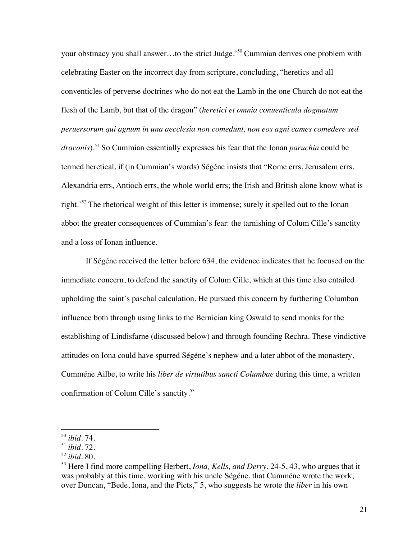your obstinacy you shall answer…to the strict Judge.' <sup>50</sup> Cummian derives one problem with celebrating Easter on the incorrect day from scripture, concluding, "heretics and all conventicles of perverse doctrines who do not eat the Lamb in the one Church do not eat the flesh of the Lamb, but that of the dragon" (*heretici et omnia conuenticula dogmatum peruersorum qui agnum in una aecclesia non comedunt, non eos agni cames comedere sed draconis*). <sup>51</sup> So Cummian essentially expresses his fear that the Ionan *paruchia* could be termed heretical, if (in Cummian's words) Ségéne insists that "Rome errs, Jerusalem errs, Alexandria errs, Antioch errs, the whole world errs; the Irish and British alone know what is right.<sup>52</sup> The rhetorical weight of this letter is immense; surely it spelled out to the Ionan abbot the greater consequences of Cummian's fear: the tarnishing of Colum Cille's sanctity and a loss of Ionan influence.

If Ségéne received the letter before 634, the evidence indicates that he focused on the immediate concern, to defend the sanctity of Colum Cille, which at this time also entailed upholding the saint's paschal calculation. He pursued this concern by furthering Columban influence both through using links to the Bernician king Oswald to send monks for the establishing of Lindisfarne (discussed below) and through founding Rechra. These vindictive attitudes on Iona could have spurred Ségéne's nephew and a later abbot of the monastery, Cumméne Ailbe, to write his *liber de virtutibus sancti Columbae* during this time, a written confirmation of Colum Cille's sanctity.<sup>53</sup>

 <sup>50</sup> *ibid*. 74.

<sup>51</sup> *ibid.* 72.

<sup>52</sup> *ibid.* 80.

<sup>53</sup> Here I find more compelling Herbert, *Iona, Kells, and Derry*, 24-5, 43, who argues that it was probably at this time, working with his uncle Ségéne, that Cumméne wrote the work, over Duncan, "Bede, Iona, and the Picts," 5, who suggests he wrote the *liber* in his own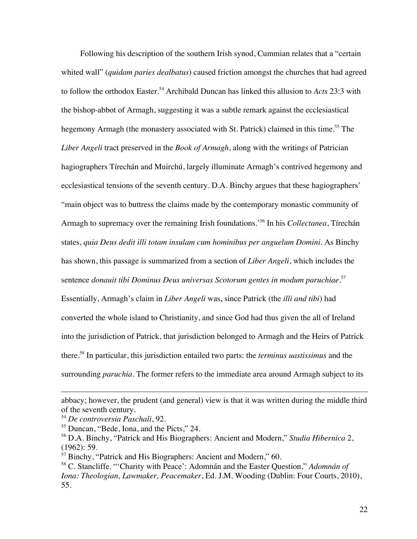Following his description of the southern Irish synod, Cummian relates that a "certain whited wall" (*quidam paries dealbatus*) caused friction amongst the churches that had agreed to follow the orthodox Easter.<sup>54</sup> Archibald Duncan has linked this allusion to *Acts* 23:3 with the bishop-abbot of Armagh, suggesting it was a subtle remark against the ecclesiastical hegemony Armagh (the monastery associated with St. Patrick) claimed in this time.<sup>55</sup> The *Liber Angeli* tract preserved in the *Book of Armagh*, along with the writings of Patrician hagiographers Tírechán and Muirchú, largely illuminate Armagh's contrived hegemony and ecclesiastical tensions of the seventh century. D.A. Binchy argues that these hagiographers' "main object was to buttress the claims made by the contemporary monastic community of Armagh to supremacy over the remaining Irish foundations.' <sup>56</sup> In his *Collectanea*, Tírechán states, *quia Deus dedit illi totam insulam cum hominibus per anguelum Domini.* As Binchy has shown, this passage is summarized from a section of *Liber Angeli*, which includes the sentence *donauit tibi Dominus Deus universas Scotorum gentes in modum paruchiae.* 57 Essentially, Armagh's claim in *Liber Angeli* was, since Patrick (the *illi and tibi*) had converted the whole island to Christianity, and since God had thus given the all of Ireland into the jurisdiction of Patrick, that jurisdiction belonged to Armagh and the Heirs of Patrick there. <sup>58</sup> In particular, this jurisdiction entailed two parts: the *terminus uastissimus* and the surrounding *paruchia*. The former refers to the immediate area around Armagh subject to its

 $\overline{a}$ 

abbacy; however, the prudent (and general) view is that it was written during the middle third of the seventh century.

<sup>54</sup> *De controversia Paschali*, 92.

<sup>55</sup> Duncan, "Bede, Iona, and the Picts," 24.

<sup>56</sup> D.A. Binchy, "Patrick and His Biographers: Ancient and Modern," *Studia Hibernica* 2, (1962): 59.

<sup>&</sup>lt;sup>57</sup> Binchy, "Patrick and His Biographers: Ancient and Modern," 60.

<sup>58</sup> C. Stancliffe. "'Charity with Peace': Adomnán and the Easter Question," *Adomnán of Iona: Theologian, Lawmaker, Peacemaker*, Ed. J.M. Wooding (Dublin: Four Courts, 2010), 55.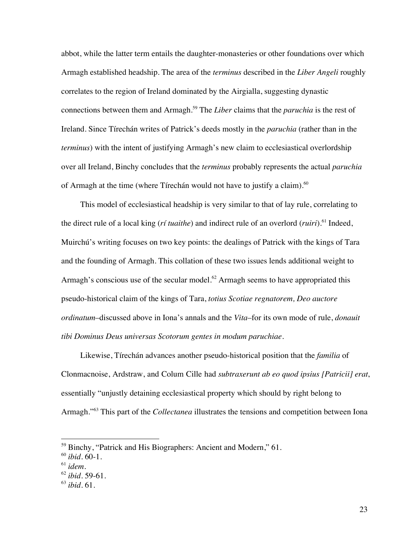abbot, while the latter term entails the daughter-monasteries or other foundations over which Armagh established headship. The area of the *terminus* described in the *Liber Angeli* roughly correlates to the region of Ireland dominated by the Airgialla, suggesting dynastic connections between them and Armagh. <sup>59</sup> The *Liber* claims that the *paruchia* is the rest of Ireland. Since Tírechán writes of Patrick's deeds mostly in the *paruchia* (rather than in the *terminus*) with the intent of justifying Armagh's new claim to ecclesiastical overlordship over all Ireland, Binchy concludes that the *terminus* probably represents the actual *paruchia* of Armagh at the time (where Tírechán would not have to justify a claim).<sup>60</sup>

This model of ecclesiastical headship is very similar to that of lay rule, correlating to the direct rule of a local king (*rí tuaithe*) and indirect rule of an overlord (*ruiri*).<sup>61</sup> Indeed, Muirchú's writing focuses on two key points: the dealings of Patrick with the kings of Tara and the founding of Armagh. This collation of these two issues lends additional weight to Armagh's conscious use of the secular model.<sup>62</sup> Armagh seems to have appropriated this pseudo-historical claim of the kings of Tara, *totius Scotiae regnatorem, Deo auctore ordinatum*–discussed above in Iona's annals and the *Vita*–for its own mode of rule, *donauit tibi Dominus Deus universas Scotorum gentes in modum paruchiae*.

Likewise, Tírechán advances another pseudo-historical position that the *familia* of Clonmacnoise, Ardstraw, and Colum Cille had *subtraxerunt ab eo quod ipsius [Patricii] erat*, essentially "unjustly detaining ecclesiastical property which should by right belong to Armagh."<sup>63</sup> This part of the *Collectanea* illustrates the tensions and competition between Iona

<sup>&</sup>lt;sup>59</sup> Binchy, "Patrick and His Biographers: Ancient and Modern," 61.

<sup>60</sup> *ibid.* 60-1.

<sup>61</sup> *idem.* 62 *ibid*. 59-61.

<sup>63</sup> *ibid*. 61.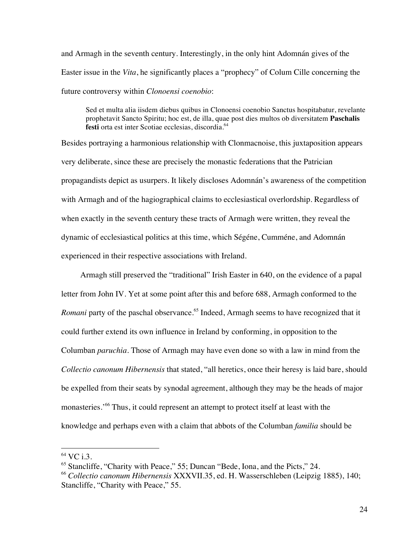and Armagh in the seventh century. Interestingly, in the only hint Adomnán gives of the Easter issue in the *Vita*, he significantly places a "prophecy" of Colum Cille concerning the future controversy within *Clonoensi coenobio*:

Sed et multa alia iisdem diebus quibus in Clonoensi coenobio Sanctus hospitabatur, revelante prophetavit Sancto Spiritu; hoc est, de illa, quae post dies multos ob diversitatem **Paschalis festi** orta est inter Scotiae ecclesias, discordia. 64

Besides portraying a harmonious relationship with Clonmacnoise, this juxtaposition appears very deliberate, since these are precisely the monastic federations that the Patrician propagandists depict as usurpers. It likely discloses Adomnán's awareness of the competition with Armagh and of the hagiographical claims to ecclesiastical overlordship. Regardless of when exactly in the seventh century these tracts of Armagh were written, they reveal the dynamic of ecclesiastical politics at this time, which Ségéne, Cumméne, and Adomnán experienced in their respective associations with Ireland.

Armagh still preserved the "traditional" Irish Easter in 640, on the evidence of a papal letter from John IV. Yet at some point after this and before 688, Armagh conformed to the *Romani* party of the paschal observance.<sup>65</sup> Indeed, Armagh seems to have recognized that it could further extend its own influence in Ireland by conforming, in opposition to the Columban *paruchia*. Those of Armagh may have even done so with a law in mind from the *Collectio canonum Hibernensis* that stated, "all heretics, once their heresy is laid bare, should be expelled from their seats by synodal agreement, although they may be the heads of major monasteries.'<sup>66</sup> Thus, it could represent an attempt to protect itself at least with the knowledge and perhaps even with a claim that abbots of the Columban *familia* should be

<sup>&</sup>lt;sup>64</sup> VC i.3.

<sup>&</sup>lt;sup>65</sup> Stancliffe, "Charity with Peace," 55; Duncan "Bede, Iona, and the Picts," 24.

<sup>66</sup> *Collectio canonum Hibernensis* XXXVII.35, ed. H. Wasserschleben (Leipzig 1885), 140; Stancliffe, "Charity with Peace," 55.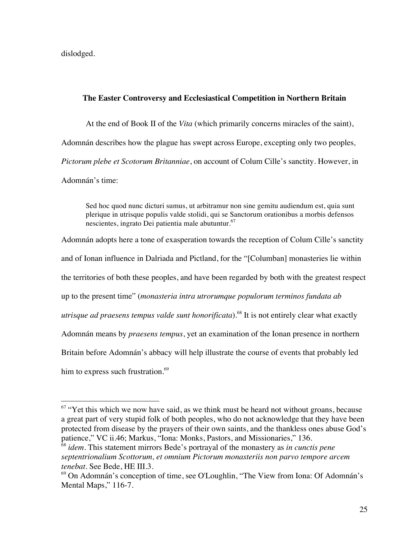dislodged.

## **The Easter Controversy and Ecclesiastical Competition in Northern Britain**

At the end of Book II of the *Vita* (which primarily concerns miracles of the saint), Adomnán describes how the plague has swept across Europe, excepting only two peoples*, Pictorum plebe et Scotorum Britanniae*, on account of Colum Cille's sanctity. However, in Adomnán's time:

Sed hoc quod nunc dicturi sumus, ut arbitramur non sine gemitu audiendum est, quia sunt plerique in utrisque populis valde stolidi, qui se Sanctorum orationibus a morbis defensos nescientes, ingrato Dei patientia male abutuntur. $67$ 

Adomnán adopts here a tone of exasperation towards the reception of Colum Cille's sanctity and of Ionan influence in Dalriada and Pictland, for the "[Columban] monasteries lie within the territories of both these peoples, and have been regarded by both with the greatest respect up to the present time" (*monasteria intra utrorumque populorum terminos fundata ab utrisque ad praesens tempus valde sunt honorificata*).<sup>68</sup> It is not entirely clear what exactly Adomnán means by *praesens tempus*, yet an examination of the Ionan presence in northern Britain before Adomnán's abbacy will help illustrate the course of events that probably led him to express such frustration.<sup>69</sup>

 $67$  "Yet this which we now have said, as we think must be heard not without groans, because a great part of very stupid folk of both peoples, who do not acknowledge that they have been protected from disease by the prayers of their own saints, and the thankless ones abuse God's patience," VC ii.46; Markus, "Iona: Monks, Pastors, and Missionaries," 136.

<sup>68</sup> *idem*. This statement mirrors Bede's portrayal of the monastery as *in cunctis pene septentrionalium Scottorum, et omnium Pictorum monasteriis non parvo tempore arcem tenebat*. See Bede, HE III.3.

 $69$  On Adomnán's conception of time, see O'Loughlin, "The View from Iona: Of Adomnán's Mental Maps," 116-7.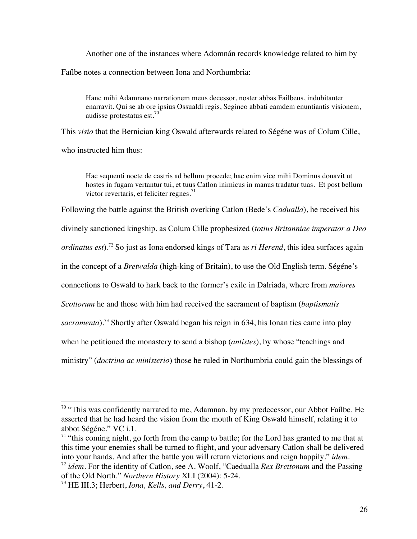Another one of the instances where Adomnán records knowledge related to him by Faílbe notes a connection between Iona and Northumbria:

Hanc mihi Adamnano narrationem meus decessor, noster abbas Failbeus, indubitanter enarravit. Qui se ab ore ipsius Ossualdi regis, Segineo abbati eamdem enuntiantis visionem, audisse protestatus est.<sup>70</sup>

This *visio* that the Bernician king Oswald afterwards related to Ségéne was of Colum Cille,

who instructed him thus:

Hac sequenti nocte de castris ad bellum procede; hac enim vice mihi Dominus donavit ut hostes in fugam vertantur tui, et tuus Catlon inimicus in manus tradatur tuas. Et post bellum victor revertaris, et feliciter regnes. $<sup>71</sup>$ </sup>

Following the battle against the British overking Catlon (Bede's *Cadualla*), he received his

divinely sanctioned kingship, as Colum Cille prophesized (*totius Britanniae imperator a Deo* 

*ordinatus est*).<sup>72</sup> So just as Iona endorsed kings of Tara as *ri Herend*, this idea surfaces again

in the concept of a *Bretwalda* (high-king of Britain), to use the Old English term. Ségéne's

connections to Oswald to hark back to the former's exile in Dalriada, where from *maiores* 

*Scottorum* he and those with him had received the sacrament of baptism (*baptismatis* 

*sacramenta*).73 Shortly after Oswald began his reign in 634, his Ionan ties came into play

when he petitioned the monastery to send a bishop (*antistes*), by whose "teachings and

ministry" (*doctrina ac ministerio*) those he ruled in Northumbria could gain the blessings of

<sup>&</sup>lt;sup>70</sup> "This was confidently narrated to me, Adamnan, by my predecessor, our Abbot Faílbe. He asserted that he had heard the vision from the mouth of King Oswald himself, relating it to abbot Ségéne." VC i.1.

 $71$  "this coming night, go forth from the camp to battle; for the Lord has granted to me that at this time your enemies shall be turned to flight, and your adversary Catlon shall be delivered into your hands. And after the battle you will return victorious and reign happily." *idem*.<br><sup>72</sup> *idem*. For the identity of Catlon, see A. Woolf, "Caedualla *Rex Brettonum* and the Passing

of the Old North." *Northern History* XLI (2004): 5-24.

<sup>73</sup> HE III.3; Herbert, *Iona, Kells, and Derry*, 41-2.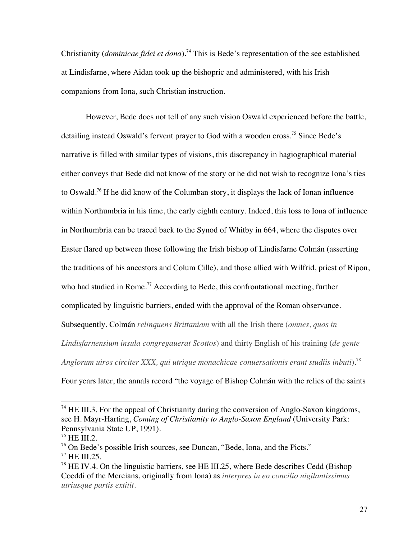Christianity (*dominicae fidei et dona*). <sup>74</sup> This is Bede's representation of the see established at Lindisfarne, where Aidan took up the bishopric and administered, with his Irish companions from Iona, such Christian instruction.

However, Bede does not tell of any such vision Oswald experienced before the battle, detailing instead Oswald's fervent prayer to God with a wooden cross.<sup>75</sup> Since Bede's narrative is filled with similar types of visions, this discrepancy in hagiographical material either conveys that Bede did not know of the story or he did not wish to recognize Iona's ties to Oswald.<sup>76</sup> If he did know of the Columban story, it displays the lack of Ionan influence within Northumbria in his time, the early eighth century. Indeed, this loss to Iona of influence in Northumbria can be traced back to the Synod of Whitby in 664, where the disputes over Easter flared up between those following the Irish bishop of Lindisfarne Colmán (asserting the traditions of his ancestors and Colum Cille), and those allied with Wilfrid, priest of Ripon, who had studied in Rome.<sup>77</sup> According to Bede, this confrontational meeting, further complicated by linguistic barriers, ended with the approval of the Roman observance. Subsequently, Colmán *relinquens Brittaniam* with all the Irish there (*omnes, quos in Lindisfarnensium insula congregauerat Scottos*) and thirty English of his training (*de gente Anglorum uiros circiter XXX, qui utrique monachicae conuersationis erant studiis inbuti*).78

Four years later, the annals record "the voyage of Bishop Colmán with the relics of the saints

 $74$  HE III.3. For the appeal of Christianity during the conversion of Anglo-Saxon kingdoms, see H. Mayr-Harting, *Coming of Christianity to Anglo-Saxon England* (University Park: Pennsylvania State UP, 1991).

 $^{75}$  HE III.2.

<sup>76</sup> On Bede's possible Irish sources, see Duncan, "Bede, Iona, and the Picts."

<sup>77</sup> HE III.25.

 $78$  HE IV.4. On the linguistic barriers, see HE III.25, where Bede describes Cedd (Bishop) Coeddi of the Mercians, originally from Iona) as *interpres in eo concilio uigilantissimus utriusque partis extitit*.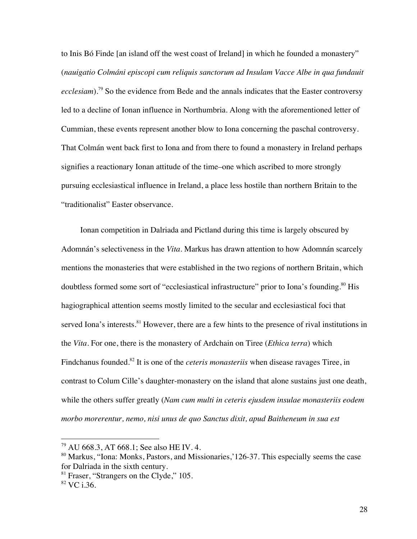to Inis Bó Finde [an island off the west coast of Ireland] in which he founded a monastery" (*nauigatio Colmáni episcopi cum reliquis sanctorum ad Insulam Vacce Albe in qua fundauit ecclesiam*).79 So the evidence from Bede and the annals indicates that the Easter controversy led to a decline of Ionan influence in Northumbria. Along with the aforementioned letter of Cummian, these events represent another blow to Iona concerning the paschal controversy. That Colmán went back first to Iona and from there to found a monastery in Ireland perhaps signifies a reactionary Ionan attitude of the time–one which ascribed to more strongly pursuing ecclesiastical influence in Ireland, a place less hostile than northern Britain to the "traditionalist" Easter observance.

Ionan competition in Dalriada and Pictland during this time is largely obscured by Adomnán's selectiveness in the *Vita*. Markus has drawn attention to how Adomnán scarcely mentions the monasteries that were established in the two regions of northern Britain, which doubtless formed some sort of "ecclesiastical infrastructure" prior to Iona's founding.<sup>80</sup> His hagiographical attention seems mostly limited to the secular and ecclesiastical foci that served Iona's interests.<sup>81</sup> However, there are a few hints to the presence of rival institutions in the *Vita*. For one, there is the monastery of Ardchain on Tiree (*Ethica terra*) which Findchanus founded.82 It is one of the *ceteris monasteriis* when disease ravages Tiree, in contrast to Colum Cille's daughter-monastery on the island that alone sustains just one death, while the others suffer greatly (*Nam cum multi in ceteris ejusdem insulae monasteriis eodem morbo morerentur, nemo, nisi unus de quo Sanctus dixit, apud Baitheneum in sua est* 

 <sup>79</sup> AU 668.3, AT 668.1; See also HE IV. 4.

<sup>&</sup>lt;sup>80</sup> Markus, "Iona: Monks, Pastors, and Missionaries, 126-37. This especially seems the case for Dalriada in the sixth century.

 $81$  Fraser, "Strangers on the Clyde," 105.

<sup>82</sup> VC i.36.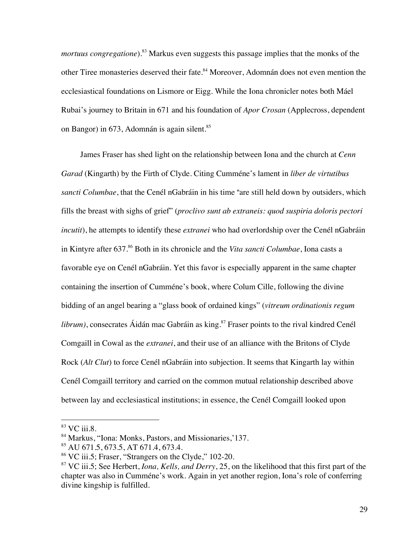*mortuus congregatione*).<sup>83</sup> Markus even suggests this passage implies that the monks of the other Tiree monasteries deserved their fate.<sup>84</sup> Moreover, Adomnán does not even mention the ecclesiastical foundations on Lismore or Eigg. While the Iona chronicler notes both Máel Rubai's journey to Britain in 671 and his foundation of *Apor Crosan* (Applecross, dependent on Bangor) in 673, Adomnán is again silent.<sup>85</sup>

James Fraser has shed light on the relationship between Iona and the church at *Cenn Garad* (Kingarth) by the Firth of Clyde. Citing Cumméne's lament in *liber de virtutibus sancti Columbae*, that the Cenél nGabráin in his time "are still held down by outsiders, which fills the breast with sighs of grief" (*proclivo sunt ab extraneis: quod suspiria doloris pectori incutit*), he attempts to identify these *extranei* who had overlordship over the Cenél nGabráin in Kintyre after 637.86 Both in its chronicle and the *Vita sancti Columbae*, Iona casts a favorable eye on Cenél nGabráin. Yet this favor is especially apparent in the same chapter containing the insertion of Cumméne's book, where Colum Cille, following the divine bidding of an angel bearing a "glass book of ordained kings" (*vitreum ordinationis regum librum*), consecrates Áidán mac Gabráin as king.<sup>87</sup> Fraser points to the rival kindred Cenél Comgaill in Cowal as the *extranei*, and their use of an alliance with the Britons of Clyde Rock (*Alt Clut*) to force Cenél nGabráin into subjection. It seems that Kingarth lay within Cenél Comgaill territory and carried on the common mutual relationship described above between lay and ecclesiastical institutions; in essence, the Cenél Comgaill looked upon

<sup>&</sup>lt;sup>83</sup> VC iii.8.

<sup>84</sup> Markus, "Iona: Monks, Pastors, and Missionaries,'137.

<sup>85</sup> AU 671.5, 673.5, AT 671.4, 673.4.

<sup>86</sup> VC iii.5; Fraser, "Strangers on the Clyde," 102-20.

<sup>87</sup> VC iii.5; See Herbert, *Iona, Kells, and Derry*, 25, on the likelihood that this first part of the chapter was also in Cumméne's work. Again in yet another region, Iona's role of conferring divine kingship is fulfilled.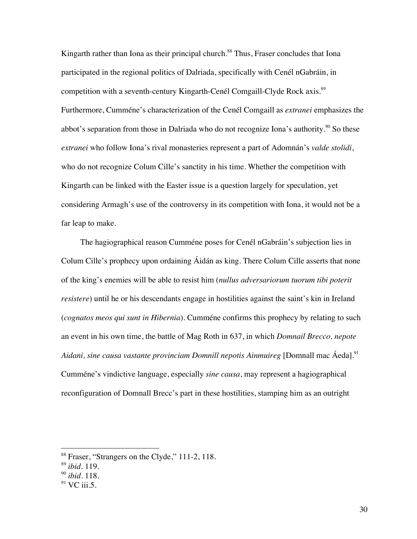Kingarth rather than Iona as their principal church.<sup>88</sup> Thus, Fraser concludes that Iona participated in the regional politics of Dalriada, specifically with Cenél nGabráin, in competition with a seventh-century Kingarth-Cenél Comgaill-Clyde Rock axis.<sup>89</sup> Furthermore, Cumméne's characterization of the Cenél Comgaill as *extranei* emphasizes the abbot's separation from those in Dalriada who do not recognize Iona's authority.<sup>90</sup> So these *extranei* who follow Iona's rival monasteries represent a part of Adomnán's *valde stolidi*, who do not recognize Colum Cille's sanctity in his time. Whether the competition with Kingarth can be linked with the Easter issue is a question largely for speculation, yet considering Armagh's use of the controversy in its competition with Iona, it would not be a far leap to make.

The hagiographical reason Cumméne poses for Cenél nGabráin's subjection lies in Colum Cille's prophecy upon ordaining Áidán as king. There Colum Cille asserts that none of the king's enemies will be able to resist him (*nullus adversariorum tuorum tibi poterit resistere*) until he or his descendants engage in hostilities against the saint's kin in Ireland (*cognatos meos qui sunt in Hibernia*). Cumméne confirms this prophecy by relating to such an event in his own time, the battle of Mag Roth in 637, in which *Domnail Brecco, nepote Aidani, sine causa vastante provinciam Domnill nepotis Ainmuireg* [Domnall mac Áeda].<sup>91</sup> Cumméne's vindictive language, especially *sine causa*, may represent a hagiographical reconfiguration of Domnall Brecc's part in these hostilities, stamping him as an outright

<sup>&</sup>lt;sup>88</sup> Fraser, "Strangers on the Clyde," 111-2, 118.

<sup>89</sup> *ibid*. 119.

<sup>90</sup> *ibid.* 118.

 $91$  VC iii.5.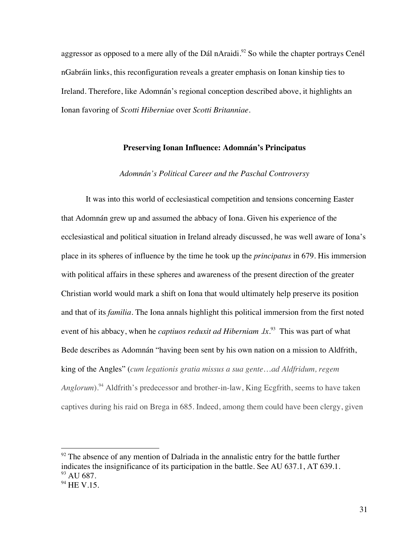aggressor as opposed to a mere ally of the Dál nAraidi.<sup>92</sup> So while the chapter portrays Cenél nGabráin links, this reconfiguration reveals a greater emphasis on Ionan kinship ties to Ireland. Therefore, like Adomnán's regional conception described above, it highlights an Ionan favoring of *Scotti Hiberniae* over *Scotti Britanniae*.

## **Preserving Ionan Influence: Adomnán's Principatus**

## *Adomnán's Political Career and the Paschal Controversy*

It was into this world of ecclesiastical competition and tensions concerning Easter that Adomnán grew up and assumed the abbacy of Iona. Given his experience of the ecclesiastical and political situation in Ireland already discussed, he was well aware of Iona's place in its spheres of influence by the time he took up the *principatus* in 679. His immersion with political affairs in these spheres and awareness of the present direction of the greater Christian world would mark a shift on Iona that would ultimately help preserve its position and that of its *familia*. The Iona annals highlight this political immersion from the first noted event of his abbacy, when he *captiuos reduxit ad Hiberniam .lx*<sup>93</sup> This was part of what Bede describes as Adomnán "having been sent by his own nation on a mission to Aldfrith, king of the Angles" (*cum legationis gratia missus a sua gente*…*ad Aldfridum, regem*  Anglorum).<sup>94</sup> Aldfrith's predecessor and brother-in-law, King Ecgfrith, seems to have taken captives during his raid on Brega in 685. Indeed, among them could have been clergy, given

 $92$  The absence of any mention of Dalriada in the annalistic entry for the battle further indicates the insignificance of its participation in the battle. See AU 637.1, AT 639.1.  $93$  AU 687.

 $94$  HE V.15.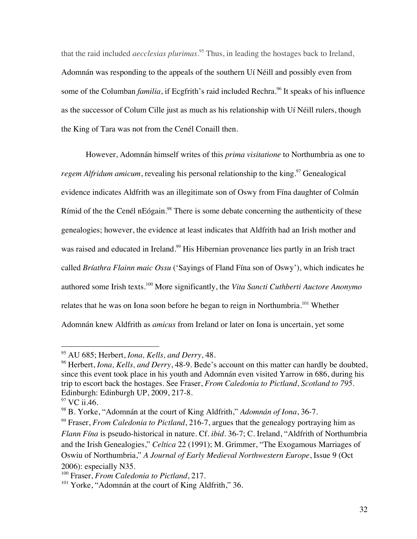that the raid included *aecclesias plurimas*. <sup>95</sup> Thus, in leading the hostages back to Ireland, Adomnán was responding to the appeals of the southern Uí Néill and possibly even from some of the Columban *familia*, if Ecgfrith's raid included Rechra.<sup>96</sup> It speaks of his influence as the successor of Colum Cille just as much as his relationship with Uí Néill rulers, though the King of Tara was not from the Cenél Conaill then.

However, Adomnán himself writes of this *prima visitatione* to Northumbria as one to *regem Alfridum amicum*, revealing his personal relationship to the king.<sup>97</sup> Genealogical evidence indicates Aldfrith was an illegitimate son of Oswy from Fína daughter of Colmán Rímid of the the Cenél nEógain.<sup>98</sup> There is some debate concerning the authenticity of these genealogies; however, the evidence at least indicates that Aldfrith had an Irish mother and was raised and educated in Ireland.<sup>99</sup> His Hibernian provenance lies partly in an Irish tract called *Bríathra Flainn maic Ossu* ('Sayings of Fland Fína son of Oswy'), which indicates he authored some Irish texts.<sup>100</sup> More significantly, the *Vita Sancti Cuthberti Auctore Anonymo* relates that he was on Iona soon before he began to reign in Northumbria.<sup>101</sup> Whether Adomnán knew Aldfrith as *amicus* from Ireland or later on Iona is uncertain, yet some

 <sup>95</sup> AU 685; Herbert, *Iona, Kells, and Derry*, 48.

<sup>&</sup>lt;sup>96</sup> Herbert, *Iona, Kells, and Derry*, 48-9. Bede's account on this matter can hardly be doubted, since this event took place in his youth and Adomnán even visited Yarrow in 686, during his trip to escort back the hostages. See Fraser, *From Caledonia to Pictland*, *Scotland to 795*. Edinburgh: Edinburgh UP, 2009, 217-8.

<sup>&</sup>lt;sup>97</sup> VC ii.46.

<sup>98</sup> B. Yorke, "Adomnán at the court of King Aldfrith," *Adomnán of Iona*, 36-7.

<sup>99</sup> Fraser, *From Caledonia to Pictland*, 216-7, argues that the genealogy portraying him as *Flann Fína* is pseudo-historical in nature. Cf. *ibid*. 36-7; C. Ireland, "Aldfrith of Northumbria and the Irish Genealogies," *Celtica* 22 (1991); M. Grimmer, "The Exogamous Marriages of Oswiu of Northumbria," *A Journal of Early Medieval Northwestern Europe*, Issue 9 (Oct 2006): especially N35.

<sup>100</sup> Fraser, *From Caledonia to Pictland*, 217.

<sup>&</sup>lt;sup>101</sup> Yorke, "Adomnán at the court of King Aldfrith," 36.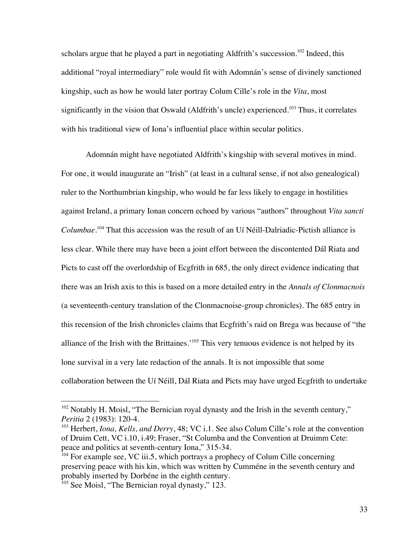scholars argue that he played a part in negotiating Aldfrith's succession.<sup>102</sup> Indeed, this additional "royal intermediary" role would fit with Adomnán's sense of divinely sanctioned kingship, such as how he would later portray Colum Cille's role in the *Vita*, most significantly in the vision that Oswald (Aldfrith's uncle) experienced.<sup>103</sup> Thus, it correlates with his traditional view of Iona's influential place within secular politics.

Adomnán might have negotiated Aldfrith's kingship with several motives in mind. For one, it would inaugurate an "Irish" (at least in a cultural sense, if not also genealogical) ruler to the Northumbrian kingship, who would be far less likely to engage in hostilities against Ireland, a primary Ionan concern echoed by various "authors" throughout *Vita sancti Columbae*. <sup>104</sup> That this accession was the result of an Uí Néill-Dalriadic-Pictish alliance is less clear. While there may have been a joint effort between the discontented Dál Riata and Picts to cast off the overlordship of Ecgfrith in 685, the only direct evidence indicating that there was an Irish axis to this is based on a more detailed entry in the *Annals of Clonmacnois* (a seventeenth-century translation of the Clonmacnoise-group chronicles). The 685 entry in this recension of the Irish chronicles claims that Ecgfrith's raid on Brega was because of "the alliance of the Irish with the Brittaines.<sup>105</sup> This very tenuous evidence is not helped by its lone survival in a very late redaction of the annals. It is not impossible that some collaboration between the Uí Néill, Dál Riata and Picts may have urged Ecgfrith to undertake

<sup>&</sup>lt;sup>102</sup> Notably H. Moisl, "The Bernician royal dynasty and the Irish in the seventh century," *Peritia* 2 (1983): 120-4.

<sup>103</sup> Herbert, *Iona, Kells, and Derry*, 48; VC i.1. See also Colum Cille's role at the convention of Druim Cett, VC i.10, i.49; Fraser, "St Columba and the Convention at Druimm Cete: peace and politics at seventh-century Iona," 315-34.

<sup>&</sup>lt;sup>104</sup> For example see, VC iii.5, which portrays a prophecy of Colum Cille concerning preserving peace with his kin, which was written by Cumméne in the seventh century and probably inserted by Dorbéne in the eighth century.

<sup>&</sup>lt;sup>105</sup> See Moisl, "The Bernician royal dynasty," 123.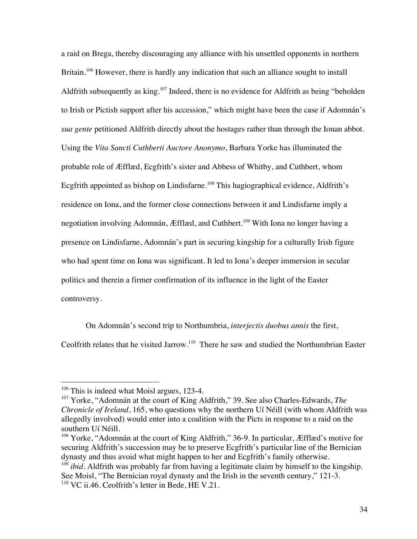a raid on Brega, thereby discouraging any alliance with his unsettled opponents in northern Britain.<sup>106</sup> However, there is hardly any indication that such an alliance sought to install Aldfrith subsequently as king.<sup>107</sup> Indeed, there is no evidence for Aldfrith as being "beholden to Irish or Pictish support after his accession," which might have been the case if Adomnán's *sua gente* petitioned Aldfrith directly about the hostages rather than through the Ionan abbot. Using the *Vita Sancti Cuthberti Auctore Anonymo*, Barbara Yorke has illuminated the probable role of Æfflæd, Ecgfrith's sister and Abbess of Whitby, and Cuthbert, whom Ecgfrith appointed as bishop on Lindisfarne.<sup>108</sup> This hagiographical evidence, Aldfrith's residence on Iona, and the former close connections between it and Lindisfarne imply a negotiation involving Adomnán, Æfflæd, and Cuthbert.<sup>109</sup> With Iona no longer having a presence on Lindisfarne, Adomnán's part in securing kingship for a culturally Irish figure who had spent time on Iona was significant. It led to Iona's deeper immersion in secular politics and therein a firmer confirmation of its influence in the light of the Easter controversy.

On Adomnán's second trip to Northumbria, *interjectis duobus annis* the first,

Ceolfrith relates that he visited Jarrow.<sup>110</sup> There he saw and studied the Northumbrian Easter

<sup>&</sup>lt;sup>106</sup> This is indeed what Moisl argues, 123-4.

<sup>107</sup> Yorke, "Adomnán at the court of King Aldfrith," 39. See also Charles-Edwards, *The Chronicle of Ireland*, 165, who questions why the northern Uí Néill (with whom Aldfrith was allegedly involved) would enter into a coalition with the Picts in response to a raid on the southern Uí Néill.

<sup>&</sup>lt;sup>108</sup> Yorke, "Adomnán at the court of King Aldfrith," 36-9. In particular, *Æfflæd*'s motive for securing Aldfrith's succession may be to preserve Ecgfrith's particular line of the Bernician dynasty and thus avoid what might happen to her and Ecgfrith's family otherwise.

<sup>&</sup>lt;sup>109</sup> *ibid*. Aldfrith was probably far from having a legitimate claim by himself to the kingship. See Moisl, "The Bernician royal dynasty and the Irish in the seventh century," 121-3. <sup>110</sup> VC ii.46. Ceolfrith's letter in Bede, HE V.21.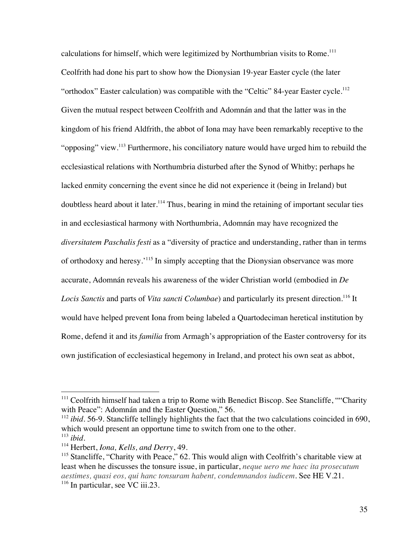calculations for himself, which were legitimized by Northumbrian visits to Rome.<sup>111</sup> Ceolfrith had done his part to show how the Dionysian 19-year Easter cycle (the later "orthodox" Easter calculation) was compatible with the "Celtic" 84-year Easter cycle.<sup>112</sup> Given the mutual respect between Ceolfrith and Adomnán and that the latter was in the kingdom of his friend Aldfrith, the abbot of Iona may have been remarkably receptive to the "opposing" view.<sup>113</sup> Furthermore, his conciliatory nature would have urged him to rebuild the ecclesiastical relations with Northumbria disturbed after the Synod of Whitby; perhaps he lacked enmity concerning the event since he did not experience it (being in Ireland) but doubtless heard about it later.<sup>114</sup> Thus, bearing in mind the retaining of important secular ties in and ecclesiastical harmony with Northumbria, Adomnán may have recognized the *diversitatem Paschalis festi* as a "diversity of practice and understanding, rather than in terms of orthodoxy and heresy.'<sup>115</sup> In simply accepting that the Dionysian observance was more accurate, Adomnán reveals his awareness of the wider Christian world (embodied in *De*  Locis Sanctis and parts of *Vita sancti Columbae*) and particularly its present direction.<sup>116</sup> It would have helped prevent Iona from being labeled a Quartodeciman heretical institution by Rome, defend it and its *familia* from Armagh's appropriation of the Easter controversy for its own justification of ecclesiastical hegemony in Ireland, and protect his own seat as abbot,

 $111$  Ceolfrith himself had taken a trip to Rome with Benedict Biscop. See Stancliffe, ""Charity" with Peace": Adomnán and the Easter Question," 56.

<sup>&</sup>lt;sup>112</sup> *ibid*. 56-9. Stancliffe tellingly highlights the fact that the two calculations coincided in 690, which would present an opportune time to switch from one to the other.  $113$  *ibid.* 

<sup>114</sup> Herbert, *Iona, Kells, and Derry*, 49.

<sup>&</sup>lt;sup>115</sup> Stancliffe, "Charity with Peace," 62. This would align with Ceolfrith's charitable view at least when he discusses the tonsure issue, in particular, *neque uero me haec ita prosecutum aestimes, quasi eos, qui hanc tonsuram habent, condemnandos iudicem*. See HE V.21.  $116$  In particular, see VC iii.23.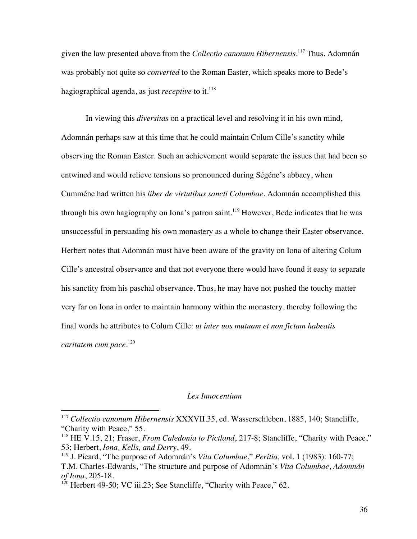given the law presented above from the *Collectio canonum Hibernensis*. <sup>117</sup> Thus, Adomnán was probably not quite so *converted* to the Roman Easter, which speaks more to Bede's hagiographical agenda, as just *receptive* to it. 118

In viewing this *diversitas* on a practical level and resolving it in his own mind, Adomnán perhaps saw at this time that he could maintain Colum Cille's sanctity while observing the Roman Easter. Such an achievement would separate the issues that had been so entwined and would relieve tensions so pronounced during Ségéne's abbacy, when Cumméne had written his *liber de virtutibus sancti Columbae*. Adomnán accomplished this through his own hagiography on Iona's patron saint.<sup>119</sup> However, Bede indicates that he was unsuccessful in persuading his own monastery as a whole to change their Easter observance. Herbert notes that Adomnán must have been aware of the gravity on Iona of altering Colum Cille's ancestral observance and that not everyone there would have found it easy to separate his sanctity from his paschal observance. Thus, he may have not pushed the touchy matter very far on Iona in order to maintain harmony within the monastery, thereby following the final words he attributes to Colum Cille: *ut inter uos mutuam et non fictam habeatis caritatem cum pace*. 120

## *Lex Innocentium*

 <sup>117</sup> *Collectio canonum Hibernensis* XXXVII.35, ed. Wasserschleben, 1885, 140; Stancliffe, "Charity with Peace," 55.

<sup>&</sup>lt;sup>118</sup> HE V.15, 21; Fraser, *From Caledonia to Pictland*, 217-8; Stancliffe, "Charity with Peace," 53; Herbert, *Iona, Kells, and Derry*, 49.

<sup>119</sup> J. Picard, "The purpose of Adomnán's *Vita Columbae*," *Peritia,* vol. 1 (1983): 160-77; T.M. Charles-Edwards, "The structure and purpose of Adomnán's *Vita Columbae*, *Adomnán of Iona*, 205-18.

<sup>&</sup>lt;sup>120</sup> Herbert 49-50; VC iii.23; See Stancliffe, "Charity with Peace," 62.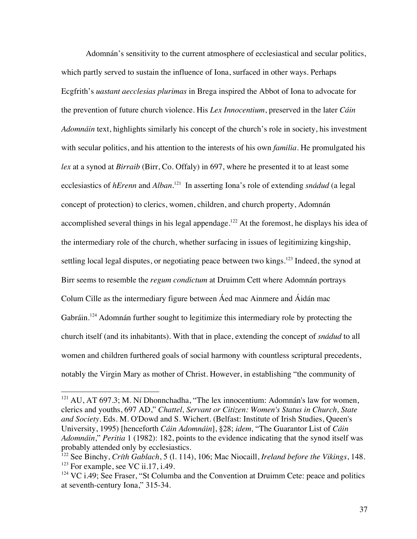Adomnán's sensitivity to the current atmosphere of ecclesiastical and secular politics, which partly served to sustain the influence of Iona, surfaced in other ways. Perhaps Ecgfrith's *uastant aecclesias plurimas* in Brega inspired the Abbot of Iona to advocate for the prevention of future church violence. His *Lex Innocentium*, preserved in the later *Cáin Adomnáin* text, highlights similarly his concept of the church's role in society, his investment with secular politics, and his attention to the interests of his own *familia*. He promulgated his *lex* at a synod at *Birraib* (Birr, Co. Offaly) in 697, where he presented it to at least some ecclesiastics of *hErenn* and *Alban*. <sup>121</sup> In asserting Iona's role of extending *snádud* (a legal concept of protection) to clerics, women, children, and church property, Adomnán accomplished several things in his legal appendage.<sup>122</sup> At the foremost, he displays his idea of the intermediary role of the church, whether surfacing in issues of legitimizing kingship, settling local legal disputes, or negotiating peace between two kings.<sup>123</sup> Indeed, the synod at Birr seems to resemble the *regum condictum* at Druimm Cett where Adomnán portrays Colum Cille as the intermediary figure between Áed mac Ainmere and Áidán mac Gabráin.<sup>124</sup> Adomnán further sought to legitimize this intermediary role by protecting the church itself (and its inhabitants). With that in place, extending the concept of *snádud* to all women and children furthered goals of social harmony with countless scriptural precedents, notably the Virgin Mary as mother of Christ. However, in establishing "the community of

 $121$  AU, AT 697.3; M. Ní Dhonnchadha, "The lex innocentium: Adomnán's law for women, clerics and youths, 697 AD," *Chattel, Servant or Citizen: Women's Status in Church, State and Society*. Eds. M. O'Dowd and S. Wichert. (Belfast: Institute of Irish Studies, Queen's University, 1995) [henceforth *Cáin Adomnáin*], §28; *idem,* "The Guarantor List of *Cáin Adomnáin*," *Peritia* 1 (1982): 182, points to the evidence indicating that the synod itself was probably attended only by ecclesiastics.

<sup>122</sup> See Binchy, *Críth Gablach*, 5 (l. 114), 106; Mac Niocaill, *Ireland before the Vikings*, 148.  $123$  For example, see VC ii.17, i.49.

 $124$  VC i.49; See Fraser, "St Columba and the Convention at Druimm Cete: peace and politics at seventh-century Iona," 315-34.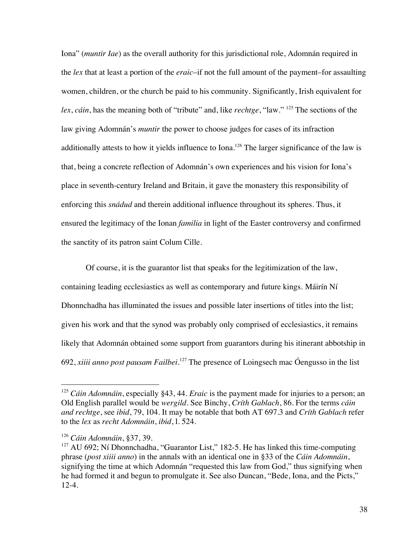Iona" (*muntir Iae*) as the overall authority for this jurisdictional role, Adomnán required in the *lex* that at least a portion of the *eraic*–if not the full amount of the payment–for assaulting women, children, or the church be paid to his community. Significantly, Irish equivalent for *lex*, *cáin*, has the meaning both of "tribute" and, like *rechtge*, "law." <sup>125</sup> The sections of the law giving Adomnán's *muntir* the power to choose judges for cases of its infraction additionally attests to how it yields influence to Iona.<sup>126</sup> The larger significance of the law is that, being a concrete reflection of Adomnán's own experiences and his vision for Iona's place in seventh-century Ireland and Britain, it gave the monastery this responsibility of enforcing this *snádud* and therein additional influence throughout its spheres. Thus, it ensured the legitimacy of the Ionan *familia* in light of the Easter controversy and confirmed the sanctity of its patron saint Colum Cille.

Of course, it is the guarantor list that speaks for the legitimization of the law, containing leading ecclesiastics as well as contemporary and future kings. Máirín Ní Dhonnchadha has illuminated the issues and possible later insertions of titles into the list; given his work and that the synod was probably only comprised of ecclesiastics, it remains likely that Adomnán obtained some support from guarantors during his itinerant abbotship in 692, *xiiii anno post pausam Failbei*. <sup>127</sup> The presence of Loingsech mac Óengusso in the list

 <sup>125</sup> *Cáin Adomnáin*, especially §43, 44. *Eraic* is the payment made for injuries to a person; an Old English parallel would be *wergild*. See Binchy, *Críth Gablach*, 86. For the terms *cáin and rechtge*, see *ibid*, 79, 104. It may be notable that both AT 697.3 and *Críth Gablach* refer to the *lex* as *recht Adomnáin*, *ibid*, l. 524.

<sup>126</sup> *Cáin Adomnáin*, §37, 39.

 $127$  AU 692; Ní Dhonnchadha, "Guarantor List," 182-5. He has linked this time-computing phrase (*post xiiii anno*) in the annals with an identical one in §33 of the *Cáin Adomnáin*, signifying the time at which Adomnán "requested this law from God," thus signifying when he had formed it and begun to promulgate it. See also Duncan, "Bede, Iona, and the Picts," 12-4.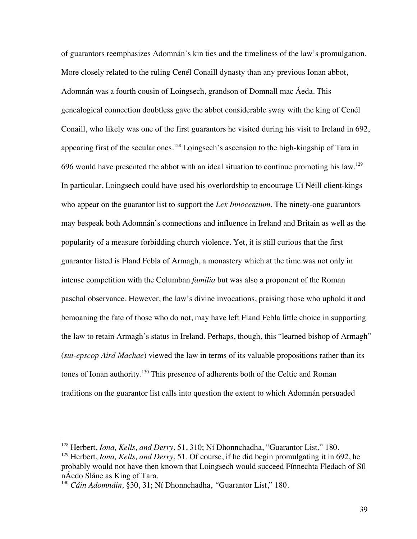of guarantors reemphasizes Adomnán's kin ties and the timeliness of the law's promulgation. More closely related to the ruling Cenél Conaill dynasty than any previous Ionan abbot, Adomnán was a fourth cousin of Loingsech, grandson of Domnall mac Áeda. This genealogical connection doubtless gave the abbot considerable sway with the king of Cenél Conaill, who likely was one of the first guarantors he visited during his visit to Ireland in 692, appearing first of the secular ones.<sup>128</sup> Loingsech's ascension to the high-kingship of Tara in 696 would have presented the abbot with an ideal situation to continue promoting his law.<sup>129</sup> In particular, Loingsech could have used his overlordship to encourage Uí Néill client-kings who appear on the guarantor list to support the *Lex Innocentium*. The ninety-one guarantors may bespeak both Adomnán's connections and influence in Ireland and Britain as well as the popularity of a measure forbidding church violence. Yet, it is still curious that the first guarantor listed is Fland Febla of Armagh, a monastery which at the time was not only in intense competition with the Columban *familia* but was also a proponent of the Roman paschal observance. However, the law's divine invocations, praising those who uphold it and bemoaning the fate of those who do not, may have left Fland Febla little choice in supporting the law to retain Armagh's status in Ireland. Perhaps, though, this "learned bishop of Armagh" (*sui-epscop Aird Machae*) viewed the law in terms of its valuable propositions rather than its tones of Ionan authority.<sup>130</sup> This presence of adherents both of the Celtic and Roman traditions on the guarantor list calls into question the extent to which Adomnán persuaded

 <sup>128</sup> Herbert, *Iona, Kells, and Derry*, 51, 310; Ní Dhonnchadha, "Guarantor List," 180.

<sup>&</sup>lt;sup>129</sup> Herbert, *Iona, Kells, and Derry*, 51. Of course, if he did begin promulgating it in 692, he probably would not have then known that Loingsech would succeed Fínnechta Fledach of Síl nÁedo Sláne as King of Tara.

<sup>130</sup> *Cáin Adomnáin,* §30, 31; Ní Dhonnchadha, *"*Guarantor List," 180.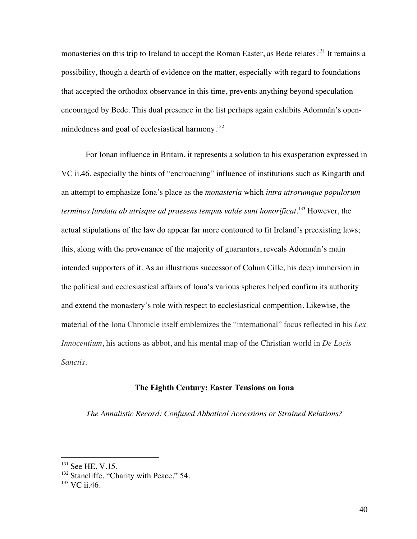monasteries on this trip to Ireland to accept the Roman Easter, as Bede relates.<sup>131</sup> It remains a possibility, though a dearth of evidence on the matter, especially with regard to foundations that accepted the orthodox observance in this time, prevents anything beyond speculation encouraged by Bede. This dual presence in the list perhaps again exhibits Adomnán's openmindedness and goal of ecclesiastical harmony.<sup>132</sup>

For Ionan influence in Britain, it represents a solution to his exasperation expressed in VC ii.46, especially the hints of "encroaching" influence of institutions such as Kingarth and an attempt to emphasize Iona's place as the *monasteria* which *intra utrorumque populorum terminos fundata ab utrisque ad praesens tempus valde sunt honorificat*. <sup>133</sup> However, the actual stipulations of the law do appear far more contoured to fit Ireland's preexisting laws; this, along with the provenance of the majority of guarantors, reveals Adomnán's main intended supporters of it. As an illustrious successor of Colum Cille, his deep immersion in the political and ecclesiastical affairs of Iona's various spheres helped confirm its authority and extend the monastery's role with respect to ecclesiastical competition. Likewise, the material of the Iona Chronicle itself emblemizes the "international" focus reflected in his *Lex Innocentium*, his actions as abbot, and his mental map of the Christian world in *De Locis Sanctis*.

## **The Eighth Century: Easter Tensions on Iona**

*The Annalistic Record: Confused Abbatical Accessions or Strained Relations?*

<sup>&</sup>lt;sup>131</sup> See HE, V.15.

<sup>&</sup>lt;sup>132</sup> Stancliffe, "Charity with Peace," 54.

<sup>&</sup>lt;sup>133</sup> VC ii.46.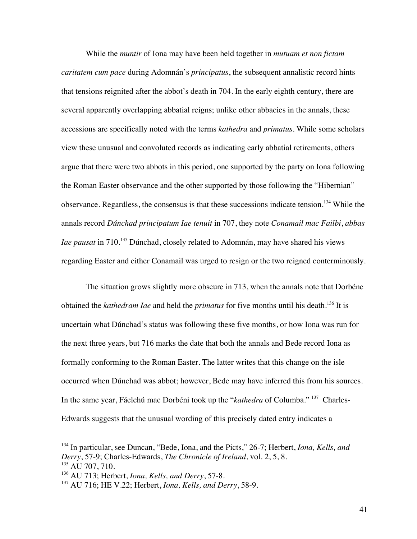While the *muntir* of Iona may have been held together in *mutuam et non fictam caritatem cum pace* during Adomnán's *principatus*, the subsequent annalistic record hints that tensions reignited after the abbot's death in 704. In the early eighth century, there are several apparently overlapping abbatial reigns; unlike other abbacies in the annals, these accessions are specifically noted with the terms *kathedra* and *primatus*. While some scholars view these unusual and convoluted records as indicating early abbatial retirements, others argue that there were two abbots in this period, one supported by the party on Iona following the Roman Easter observance and the other supported by those following the "Hibernian" observance. Regardless, the consensus is that these successions indicate tension.<sup>134</sup> While the annals record *Dúnchad principatum Iae tenuit* in 707, they note *Conamail mac Failbi*, *abbas Iae pausat* in 710.<sup>135</sup> Dúnchad, closely related to Adomnán, may have shared his views regarding Easter and either Conamail was urged to resign or the two reigned conterminously.

The situation grows slightly more obscure in 713, when the annals note that Dorbéne obtained the *kathedram Iae* and held the *primatus* for five months until his death.<sup>136</sup> It is uncertain what Dúnchad's status was following these five months, or how Iona was run for the next three years, but 716 marks the date that both the annals and Bede record Iona as formally conforming to the Roman Easter. The latter writes that this change on the isle occurred when Dúnchad was abbot; however, Bede may have inferred this from his sources. In the same year, Fáelchú mac Dorbéni took up the "*kathedra* of Columba." 137 Charles-Edwards suggests that the unusual wording of this precisely dated entry indicates a

 <sup>134</sup> In particular, see Duncan, "Bede, Iona, and the Picts," 26-7; Herbert, *Iona, Kells, and Derry*, 57-9; Charles-Edwards, *The Chronicle of Ireland*, vol. 2, 5, 8.

 $135$  AU 707, 710.

<sup>136</sup> AU 713; Herbert, *Iona, Kells, and Derry*, 57-8.

<sup>137</sup> AU 716; HE V.22; Herbert, *Iona, Kells, and Derry*, 58-9.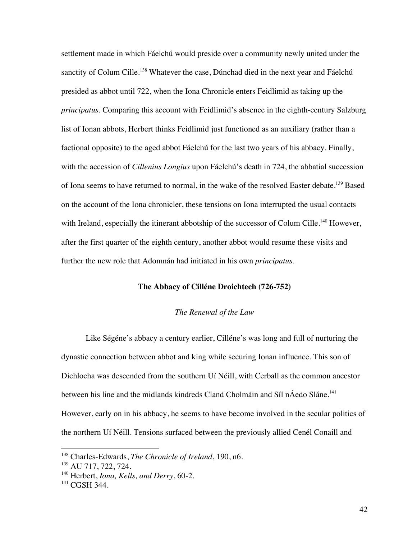settlement made in which Fáelchú would preside over a community newly united under the sanctity of Colum Cille.<sup>138</sup> Whatever the case, Dúnchad died in the next year and Fáelchú presided as abbot until 722, when the Iona Chronicle enters Feidlimid as taking up the *principatus*. Comparing this account with Feidlimid's absence in the eighth-century Salzburg list of Ionan abbots, Herbert thinks Feidlimid just functioned as an auxiliary (rather than a factional opposite) to the aged abbot Fáelchú for the last two years of his abbacy. Finally, with the accession of *Cillenius Longius* upon Fáelchú's death in 724, the abbatial succession of Iona seems to have returned to normal, in the wake of the resolved Easter debate.<sup>139</sup> Based on the account of the Iona chronicler, these tensions on Iona interrupted the usual contacts with Ireland, especially the itinerant abbotship of the successor of Colum Cille.<sup>140</sup> However, after the first quarter of the eighth century, another abbot would resume these visits and further the new role that Adomnán had initiated in his own *principatus*.

## **The Abbacy of Cilléne Droichtech (726-752)**

#### *The Renewal of the Law*

Like Ségéne's abbacy a century earlier, Cilléne's was long and full of nurturing the dynastic connection between abbot and king while securing Ionan influence. This son of Dichlocha was descended from the southern Uí Néill, with Cerball as the common ancestor between his line and the midlands kindreds Cland Cholmáin and Síl nÁedo Sláne.<sup>141</sup> However, early on in his abbacy, he seems to have become involved in the secular politics of the northern Uí Néill. Tensions surfaced between the previously allied Cenél Conaill and

 <sup>138</sup> Charles-Edwards, *The Chronicle of Ireland*, 190, n6.

<sup>139</sup> AU 717, 722, 724.

<sup>140</sup> Herbert, *Iona, Kells, and Derry*, 60-2.

<sup>&</sup>lt;sup>141</sup> CGSH 344.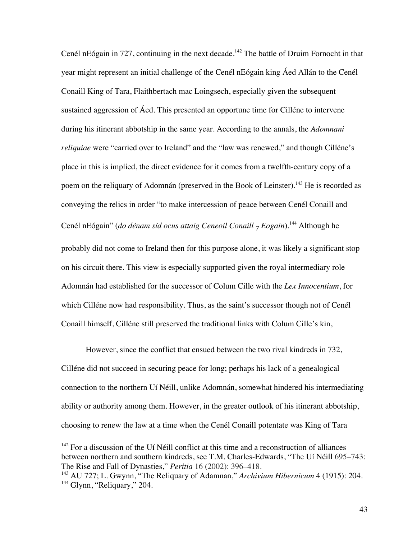Cenél nEógain in 727, continuing in the next decade.<sup>142</sup> The battle of Druim Fornocht in that year might represent an initial challenge of the Cenél nEógain king Áed Allán to the Cenél Conaill King of Tara, Flaithbertach mac Loingsech, especially given the subsequent sustained aggression of Áed. This presented an opportune time for Cilléne to intervene during his itinerant abbotship in the same year. According to the annals, the *Adomnani reliquiae* were "carried over to Ireland" and the "law was renewed," and though Cilléne's place in this is implied, the direct evidence for it comes from a twelfth-century copy of a poem on the reliquary of Adomnán (preserved in the Book of Leinster).<sup>143</sup> He is recorded as conveying the relics in order "to make intercession of peace between Cenél Conaill and Cenél nEógain" (*do dénam síd ocus attaig Ceneoil Conaill 7 Eogain*).144 Although he probably did not come to Ireland then for this purpose alone, it was likely a significant stop on his circuit there. This view is especially supported given the royal intermediary role Adomnán had established for the successor of Colum Cille with the *Lex Innocentium*, for which Cilléne now had responsibility. Thus, as the saint's successor though not of Cenél Conaill himself, Cilléne still preserved the traditional links with Colum Cille's kin,

However, since the conflict that ensued between the two rival kindreds in 732, Cilléne did not succeed in securing peace for long; perhaps his lack of a genealogical connection to the northern Uí Néill, unlike Adomnán, somewhat hindered his intermediating ability or authority among them. However, in the greater outlook of his itinerant abbotship, choosing to renew the law at a time when the Cenél Conaill potentate was King of Tara

<sup>&</sup>lt;sup>142</sup> For a discussion of the Uí Néill conflict at this time and a reconstruction of alliances between northern and southern kindreds, see T.M. Charles-Edwards, "The Uí Néill 695–743: The Rise and Fall of Dynasties," *Peritia* 16 (2002): 396–418.

<sup>143</sup> AU 727; L. Gwynn, "The Reliquary of Adamnan," *Archivium Hibernicum* 4 (1915): 204. <sup>144</sup> Glynn, "Reliquary," 204.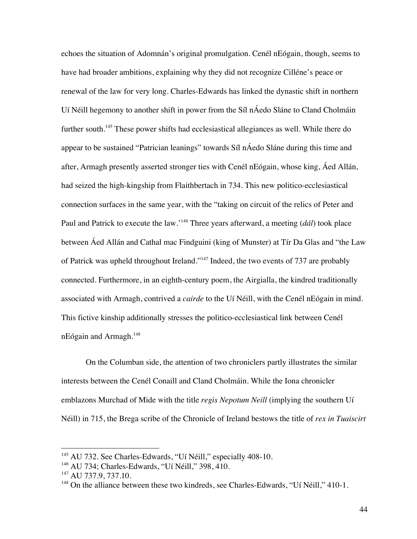echoes the situation of Adomnán's original promulgation. Cenél nEógain, though, seems to have had broader ambitions, explaining why they did not recognize Cilléne's peace or renewal of the law for very long. Charles-Edwards has linked the dynastic shift in northern Uí Néill hegemony to another shift in power from the Síl nÁedo Sláne to Cland Cholmáin further south.<sup>145</sup> These power shifts had ecclesiastical allegiances as well. While there do appear to be sustained "Patrician leanings" towards Síl nÁedo Sláne during this time and after, Armagh presently asserted stronger ties with Cenél nEógain, whose king, Áed Allán, had seized the high-kingship from Flaithbertach in 734. This new politico-ecclesiastical connection surfaces in the same year, with the "taking on circuit of the relics of Peter and Paul and Patrick to execute the law.'<sup>146</sup> Three years afterward, a meeting (*dál*) took place between Áed Allán and Cathal mac Findguini (king of Munster) at Tír Da Glas and "the Law of Patrick was upheld throughout Ireland."147 Indeed, the two events of 737 are probably connected. Furthermore, in an eighth-century poem, the Airgialla, the kindred traditionally associated with Armagh, contrived a *cairde* to the Uí Néill, with the Cenél nEógain in mind. This fictive kinship additionally stresses the politico-ecclesiastical link between Cenél  $nE$ ógain and Armagh.<sup>148</sup>

On the Columban side, the attention of two chroniclers partly illustrates the similar interests between the Cenél Conaill and Cland Cholmáin. While the Iona chronicler emblazons Murchad of Mide with the title *regis Nepotum Neill* (implying the southern Uí Néill) in 715, the Brega scribe of the Chronicle of Ireland bestows the title of *rex in Tuaiscirt*

<sup>&</sup>lt;sup>145</sup> AU 732. See Charles-Edwards, "Uí Néill," especially 408-10.

<sup>&</sup>lt;sup>146</sup> AU 734; Charles-Edwards, "Uí Néill," 398, 410.

<sup>&</sup>lt;sup>147</sup> AU 737.9, 737.10.

<sup>&</sup>lt;sup>148</sup> On the alliance between these two kindreds, see Charles-Edwards, "Uí Néill," 410-1.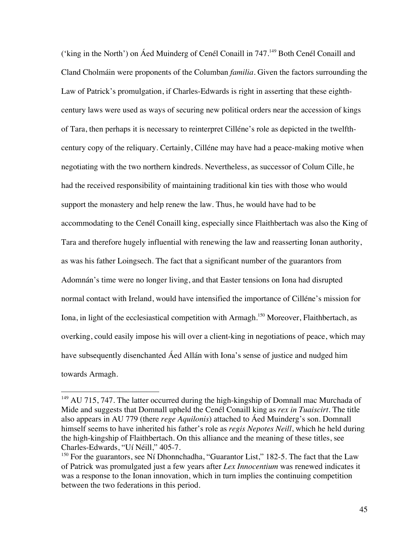('king in the North') on Áed Muinderg of Cenél Conaill in 747.149 Both Cenél Conaill and Cland Cholmáin were proponents of the Columban *familia*. Given the factors surrounding the Law of Patrick's promulgation, if Charles-Edwards is right in asserting that these eighthcentury laws were used as ways of securing new political orders near the accession of kings of Tara, then perhaps it is necessary to reinterpret Cilléne's role as depicted in the twelfthcentury copy of the reliquary. Certainly, Cilléne may have had a peace-making motive when negotiating with the two northern kindreds. Nevertheless, as successor of Colum Cille, he had the received responsibility of maintaining traditional kin ties with those who would support the monastery and help renew the law. Thus, he would have had to be accommodating to the Cenél Conaill king, especially since Flaithbertach was also the King of Tara and therefore hugely influential with renewing the law and reasserting Ionan authority, as was his father Loingsech. The fact that a significant number of the guarantors from Adomnán's time were no longer living, and that Easter tensions on Iona had disrupted normal contact with Ireland, would have intensified the importance of Cilléne's mission for Iona, in light of the ecclesiastical competition with Armagh.<sup>150</sup> Moreover, Flaithbertach, as overking, could easily impose his will over a client-king in negotiations of peace, which may have subsequently disenchanted Áed Allán with Iona's sense of justice and nudged him towards Armagh.

 $149$  AU 715, 747. The latter occurred during the high-kingship of Domnall mac Murchada of Mide and suggests that Domnall upheld the Cenél Conaill king as *rex in Tuaiscirt*. The title also appears in AU 779 (there *rege Aquilonis*) attached to Áed Muinderg's son. Domnall himself seems to have inherited his father's role as *regis Nepotes Neill*, which he held during the high-kingship of Flaithbertach. On this alliance and the meaning of these titles, see Charles-Edwards, "Uí Néill," 405-7.

<sup>&</sup>lt;sup>150</sup> For the guarantors, see Ní Dhonnchadha, "Guarantor List," 182-5. The fact that the Law of Patrick was promulgated just a few years after *Lex Innocentium* was renewed indicates it was a response to the Ionan innovation, which in turn implies the continuing competition between the two federations in this period.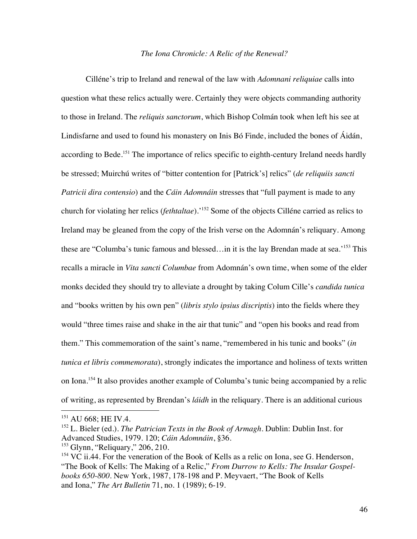#### *The Iona Chronicle: A Relic of the Renewal?*

Cilléne's trip to Ireland and renewal of the law with *Adomnani reliquiae* calls into question what these relics actually were. Certainly they were objects commanding authority to those in Ireland. The *reliquis sanctorum*, which Bishop Colmán took when left his see at Lindisfarne and used to found his monastery on Inis Bó Finde, included the bones of Áidán, according to Bede.<sup>151</sup> The importance of relics specific to eighth-century Ireland needs hardly be stressed; Muirchú writes of "bitter contention for [Patrick's] relics" (*de reliquiis sancti Patricii dira contensio*) and the *Cáin Adomnáin* stresses that "full payment is made to any church for violating her relics (*fethtaltae*).'152 Some of the objects Cilléne carried as relics to Ireland may be gleaned from the copy of the Irish verse on the Adomnán's reliquary. Among these are "Columba's tunic famous and blessed... in it is the lay Brendan made at sea.'<sup>153</sup> This recalls a miracle in *Vita sancti Columbae* from Adomnán's own time, when some of the elder monks decided they should try to alleviate a drought by taking Colum Cille's *candida tunica* and "books written by his own pen" (*libris stylo ipsius discriptis*) into the fields where they would "three times raise and shake in the air that tunic" and "open his books and read from them." This commemoration of the saint's name, "remembered in his tunic and books" (*in tunica et libris commemorata*), strongly indicates the importance and holiness of texts written on Iona.<sup>154</sup> It also provides another example of Columba's tunic being accompanied by a relic of writing, as represented by Brendan's *láidh* in the reliquary. There is an additional curious

<sup>&</sup>lt;sup>151</sup> AU 668; HE IV.4.

<sup>&</sup>lt;sup>152</sup> L. Bieler (ed.). *The Patrician Texts in the Book of Armagh*. Dublin: Dublin Inst. for Advanced Studies, 1979. 120; *Cáin Adomnáin*, §36.

<sup>153</sup> Glynn, "Reliquary," 206, 210.

 $154$  VC ii.44. For the veneration of the Book of Kells as a relic on Iona, see G. Henderson, "The Book of Kells: The Making of a Relic," *From Durrow to Kells: The Insular Gospelbooks 650-800*. New York, 1987, 178-198 and P. Meyvaert, "The Book of Kells and Iona," *The Art Bulletin* 71, no. 1 (1989); 6-19.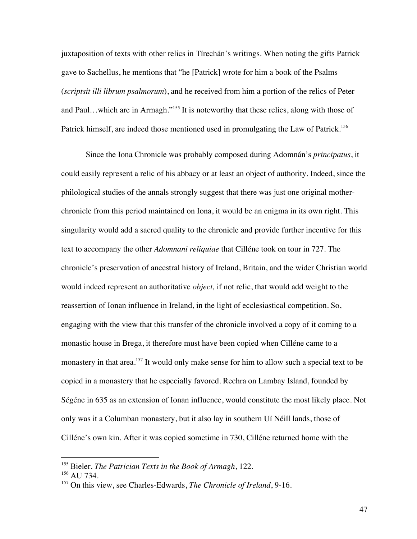juxtaposition of texts with other relics in Tírechán's writings. When noting the gifts Patrick gave to Sachellus, he mentions that "he [Patrick] wrote for him a book of the Psalms (*scriptsit illi librum psalmorum*), and he received from him a portion of the relics of Peter and Paul…which are in Armagh."<sup>155</sup> It is noteworthy that these relics, along with those of Patrick himself, are indeed those mentioned used in promulgating the Law of Patrick.<sup>156</sup>

Since the Iona Chronicle was probably composed during Adomnán's *principatus*, it could easily represent a relic of his abbacy or at least an object of authority. Indeed, since the philological studies of the annals strongly suggest that there was just one original motherchronicle from this period maintained on Iona, it would be an enigma in its own right. This singularity would add a sacred quality to the chronicle and provide further incentive for this text to accompany the other *Adomnani reliquiae* that Cilléne took on tour in 727. The chronicle's preservation of ancestral history of Ireland, Britain, and the wider Christian world would indeed represent an authoritative *object,* if not relic, that would add weight to the reassertion of Ionan influence in Ireland, in the light of ecclesiastical competition. So, engaging with the view that this transfer of the chronicle involved a copy of it coming to a monastic house in Brega, it therefore must have been copied when Cilléne came to a monastery in that area.<sup>157</sup> It would only make sense for him to allow such a special text to be copied in a monastery that he especially favored. Rechra on Lambay Island, founded by Ségéne in 635 as an extension of Ionan influence, would constitute the most likely place. Not only was it a Columban monastery, but it also lay in southern Uí Néill lands, those of Cilléne's own kin. After it was copied sometime in 730, Cilléne returned home with the

 <sup>155</sup> Bieler. *The Patrician Texts in the Book of Armagh*, 122.

<sup>&</sup>lt;sup>156</sup> AU 734.

<sup>157</sup> On this view, see Charles-Edwards, *The Chronicle of Ireland*, 9-16.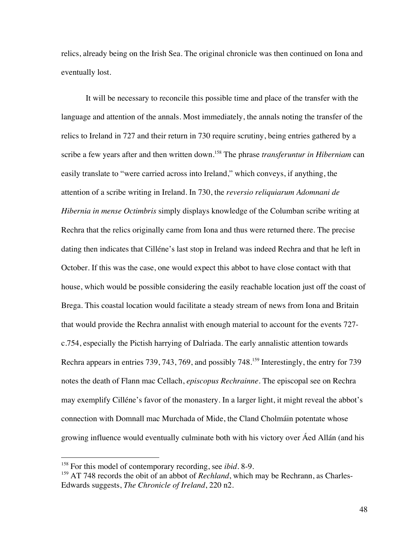relics, already being on the Irish Sea. The original chronicle was then continued on Iona and eventually lost.

It will be necessary to reconcile this possible time and place of the transfer with the language and attention of the annals. Most immediately, the annals noting the transfer of the relics to Ireland in 727 and their return in 730 require scrutiny, being entries gathered by a scribe a few years after and then written down. <sup>158</sup> The phrase *transferuntur in Hiberniam* can easily translate to "were carried across into Ireland," which conveys, if anything, the attention of a scribe writing in Ireland. In 730, the *reversio reliquiarum Adomnani de Hibernia in mense Octimbris* simply displays knowledge of the Columban scribe writing at Rechra that the relics originally came from Iona and thus were returned there. The precise dating then indicates that Cilléne's last stop in Ireland was indeed Rechra and that he left in October. If this was the case, one would expect this abbot to have close contact with that house, which would be possible considering the easily reachable location just off the coast of Brega. This coastal location would facilitate a steady stream of news from Iona and Britain that would provide the Rechra annalist with enough material to account for the events 727 c.754, especially the Pictish harrying of Dalriada. The early annalistic attention towards Rechra appears in entries 739, 743, 769, and possibly 748.<sup>159</sup> Interestingly, the entry for 739 notes the death of Flann mac Cellach, *episcopus Rechrainne*. The episcopal see on Rechra may exemplify Cilléne's favor of the monastery. In a larger light, it might reveal the abbot's connection with Domnall mac Murchada of Mide, the Cland Cholmáin potentate whose growing influence would eventually culminate both with his victory over Áed Allán (and his

 <sup>158</sup> For this model of contemporary recording, see *ibid.* 8-9.

<sup>&</sup>lt;sup>159</sup> AT 748 records the obit of an abbot of *Rechland*, which may be Rechrann, as Charles-Edwards suggests, *The Chronicle of Ireland*, 220 n2.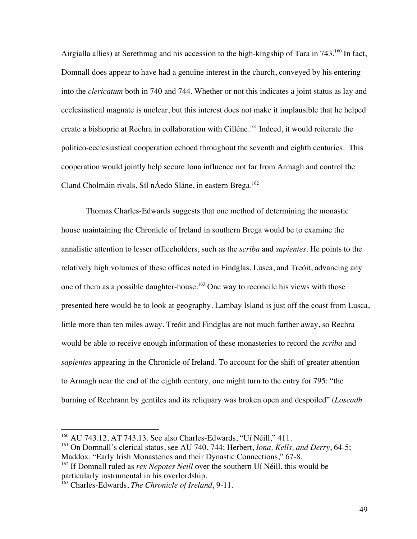Airgialla allies) at Serethmag and his accession to the high-kingship of Tara in 743.<sup>160</sup> In fact, Domnall does appear to have had a genuine interest in the church, conveyed by his entering into the *clericatum* both in 740 and 744. Whether or not this indicates a joint status as lay and ecclesiastical magnate is unclear, but this interest does not make it implausible that he helped create a bishopric at Rechra in collaboration with Cilléne. <sup>161</sup> Indeed, it would reiterate the politico-ecclesiastical cooperation echoed throughout the seventh and eighth centuries. This cooperation would jointly help secure Iona influence not far from Armagh and control the Cland Cholmáin rivals, Síl nÁedo Sláne, in eastern Brega. 162

Thomas Charles-Edwards suggests that one method of determining the monastic house maintaining the Chronicle of Ireland in southern Brega would be to examine the annalistic attention to lesser officeholders, such as the *scriba* and *sapientes*. He points to the relatively high volumes of these offices noted in Findglas, Lusca, and Treóit, advancing any one of them as a possible daughter-house.<sup>163</sup> One way to reconcile his views with those presented here would be to look at geography. Lambay Island is just off the coast from Lusca, little more than ten miles away. Treóit and Findglas are not much farther away, so Rechra would be able to receive enough information of these monasteries to record the *scriba* and *sapientes* appearing in the Chronicle of Ireland. To account for the shift of greater attention to Armagh near the end of the eighth century, one might turn to the entry for 795: "the burning of Rechrann by gentiles and its reliquary was broken open and despoiled" (*Loscadh* 

<sup>&</sup>lt;sup>160</sup> AU 743.12, AT 743.13. See also Charles-Edwards, "Uí Néill," 411.

<sup>161</sup> On Domnall's clerical status, see AU 740, 744; Herbert, *Iona, Kells, and Derry*, 64-5; Maddox. "Early Irish Monasteries and their Dynastic Connections," 67-8.

<sup>&</sup>lt;sup>162</sup> If Domnall ruled as *rex Nepotes Neill* over the southern Uí Néill, this would be particularly instrumental in his overlordship.

<sup>163</sup> Charles-Edwards, *The Chronicle of Ireland*, 9-11.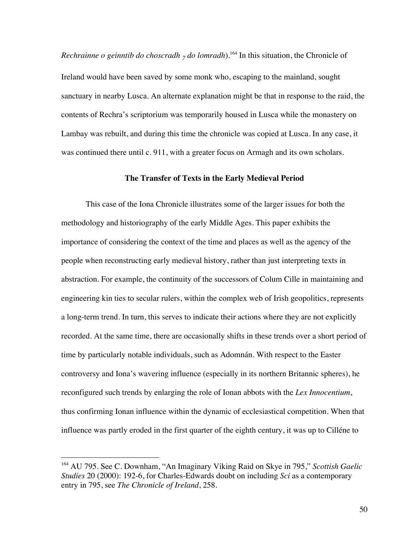*Rechrainne o geinntib do choscradh*  $_7$  *do lomradh*).<sup>164</sup> In this situation, the Chronicle of Ireland would have been saved by some monk who, escaping to the mainland, sought sanctuary in nearby Lusca. An alternate explanation might be that in response to the raid, the contents of Rechra's scriptorium was temporarily housed in Lusca while the monastery on Lambay was rebuilt, and during this time the chronicle was copied at Lusca. In any case, it was continued there until c. 911, with a greater focus on Armagh and its own scholars.

## **The Transfer of Texts in the Early Medieval Period**

This case of the Iona Chronicle illustrates some of the larger issues for both the methodology and historiography of the early Middle Ages. This paper exhibits the importance of considering the context of the time and places as well as the agency of the people when reconstructing early medieval history, rather than just interpreting texts in abstraction. For example, the continuity of the successors of Colum Cille in maintaining and engineering kin ties to secular rulers, within the complex web of Irish geopolitics, represents a long-term trend. In turn, this serves to indicate their actions where they are not explicitly recorded. At the same time, there are occasionally shifts in these trends over a short period of time by particularly notable individuals, such as Adomnán. With respect to the Easter controversy and Iona's wavering influence (especially in its northern Britannic spheres), he reconfigured such trends by enlarging the role of Ionan abbots with the *Lex Innocentium*, thus confirming Ionan influence within the dynamic of ecclesiastical competition. When that influence was partly eroded in the first quarter of the eighth century, it was up to Cilléne to

 <sup>164</sup> AU 795. See C. Downham, "An Imaginary Viking Raid on Skye in 795," *Scottish Gaelic Studies* 20 (2000): 192-6, for Charles-Edwards doubt on including *Sci* as a contemporary entry in 795, see *The Chronicle of Ireland*, 258.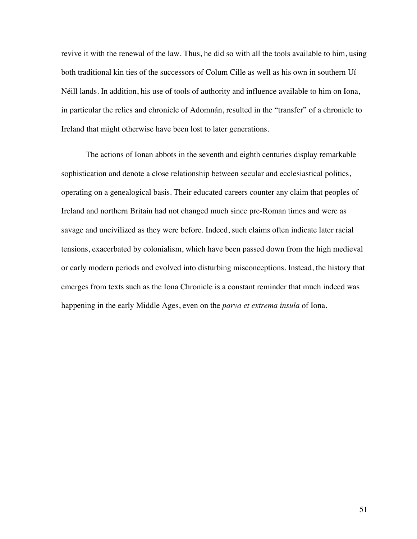revive it with the renewal of the law. Thus, he did so with all the tools available to him, using both traditional kin ties of the successors of Colum Cille as well as his own in southern Uí Néill lands. In addition, his use of tools of authority and influence available to him on Iona, in particular the relics and chronicle of Adomnán, resulted in the "transfer" of a chronicle to Ireland that might otherwise have been lost to later generations.

The actions of Ionan abbots in the seventh and eighth centuries display remarkable sophistication and denote a close relationship between secular and ecclesiastical politics, operating on a genealogical basis. Their educated careers counter any claim that peoples of Ireland and northern Britain had not changed much since pre-Roman times and were as savage and uncivilized as they were before. Indeed, such claims often indicate later racial tensions, exacerbated by colonialism, which have been passed down from the high medieval or early modern periods and evolved into disturbing misconceptions. Instead, the history that emerges from texts such as the Iona Chronicle is a constant reminder that much indeed was happening in the early Middle Ages, even on the *parva et extrema insula* of Iona.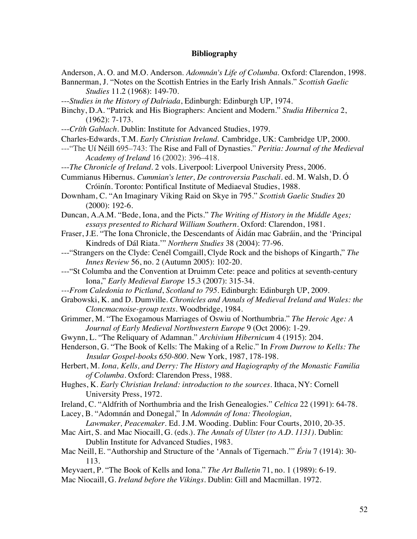## **Bibliography**

- Anderson, A. O. and M.O. Anderson. *Adomnán's Life of Columba*. Oxford: Clarendon, 1998.
- Bannerman, J. "Notes on the Scottish Entries in the Early Irish Annals." *Scottish Gaelic Studies* 11.2 (1968): 149-70.
- ---*Studies in the History of Dalriada*, Edinburgh: Edinburgh UP, 1974.
- Binchy, D.A. "Patrick and His Biographers: Ancient and Modern." *Studia Hibernica* 2, (1962): 7-173.
- ---*Críth Gablach*. Dublin: Institute for Advanced Studies, 1979.
- Charles-Edwards, T.M. *Early Christian Ireland*. Cambridge, UK: Cambridge UP, 2000.
- ---"The Uí Néill 695–743: The Rise and Fall of Dynasties." *Peritia: Journal of the Medieval Academy of Ireland* 16 (2002): 396–418.
- ---*The Chronicle of Ireland*. 2 vols. Liverpool: Liverpool University Press, 2006.
- Cummianus Hibernus. *Cummian's letter, De controversia Paschali*. ed. M. Walsh, D. Ó Cróinín. Toronto: Pontifical Institute of Mediaeval Studies, 1988.
- Downham, C. "An Imaginary Viking Raid on Skye in 795." *Scottish Gaelic Studies* 20 (2000): 192-6.
- Duncan, A.A.M. "Bede, Iona, and the Picts." *The Writing of History in the Middle Ages; essays presented to Richard William Southern*. Oxford: Clarendon, 1981.
- Fraser, J.E. "The Iona Chronicle, the Descendants of Áidán mac Gabráin, and the 'Principal Kindreds of Dál Riata.'" *Northern Studies* 38 (2004): 77-96.
- ---"Strangers on the Clyde: Cenél Comgaill, Clyde Rock and the bishops of Kingarth," *The Innes Review* 56, no. 2 (Autumn 2005): 102-20.
- ---"St Columba and the Convention at Druimm Cete: peace and politics at seventh-century Iona," *Early Medieval Europe* 15.3 (2007): 315-34.
- *---From Caledonia to Pictland*, *Scotland to 795*. Edinburgh: Edinburgh UP, 2009.
- Grabowski, K. and D. Dumville. *Chronicles and Annals of Medieval Ireland and Wales: the Cloncmacnoise-group texts*. Woodbridge, 1984.
- Grimmer, M. "The Exogamous Marriages of Oswiu of Northumbria." *The Heroic Age: A Journal of Early Medieval Northwestern Europe* 9 (Oct 2006): 1-29.
- Gwynn, L. "The Reliquary of Adamnan." *Archivium Hibernicum* 4 (1915): 204.
- Henderson, G. "The Book of Kells: The Making of a Relic." In *From Durrow to Kells: The Insular Gospel-books 650-800*. New York, 1987, 178-198.
- Herbert, M. *Iona, Kells, and Derry: The History and Hagiography of the Monastic Familia of Columba*. Oxford: Clarendon Press, 1988.
- Hughes, K. *Early Christian Ireland: introduction to the sources*. Ithaca, NY: Cornell University Press, 1972.
- Ireland, C. "Aldfrith of Northumbria and the Irish Genealogies." *Celtica* 22 (1991): 64-78.

Lacey, B. "Adomnán and Donegal," In *Adomnán of Iona: Theologian,* 

*Lawmaker, Peacemaker*. Ed. J.M. Wooding. Dublin: Four Courts, 2010, 20-35.

- Mac Airt, S. and Mac Niocaill, G. (eds.). *The Annals of Ulster (to A.D. 1131)*. Dublin: Dublin Institute for Advanced Studies, 1983.
- Mac Neill, E. "Authorship and Structure of the 'Annals of Tigernach.'" *Ériu* 7 (1914): 30- 113.
- Meyvaert, P. "The Book of Kells and Iona." *The Art Bulletin* 71, no. 1 (1989): 6-19.
- Mac Niocaill, G. *Ireland before the Vikings*. Dublin: Gill and Macmillan. 1972.